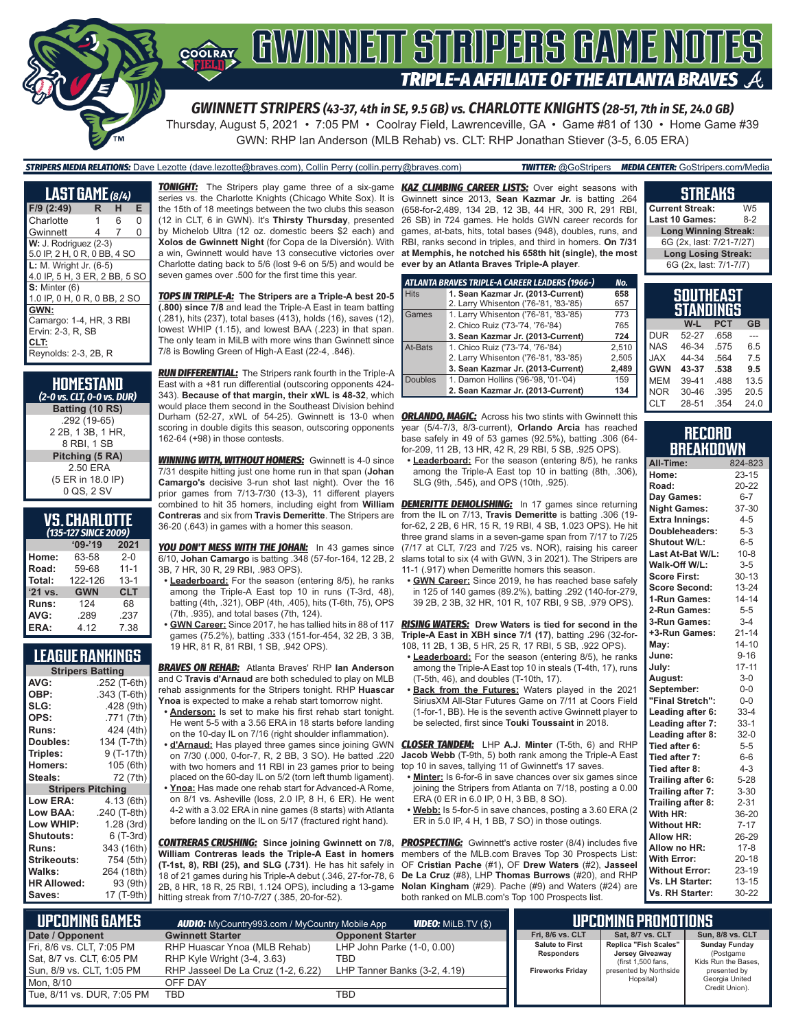

Thursday, August 5, 2021 • 7:05 PM • Coolray Field, Lawrenceville, GA • Game #81 of 130 • Home Game #39 GWN: RHP Ian Anderson (MLB Rehab) vs. CLT: RHP Jonathan Stiever (3-5, 6.05 ERA)

*STRIPERS MEDIA RELATIONS:* Dave Lezotte (dave.lezotte@braves.com), Collin Perry (collin.perry@braves.com) *TWITTER:* @GoStripers *MEDIA CENTER:* GoStripers.com/Media

| <u>LAS</u> T GÅME (8/4)       |   |   |   |  |  |
|-------------------------------|---|---|---|--|--|
| F/9 (2:49)                    | R | н | Е |  |  |
| Charlotte                     | 1 | 6 | 0 |  |  |
| Gwinnett                      | 4 | 7 | 0 |  |  |
| $W: J.$ Rodriguez $(2-3)$     |   |   |   |  |  |
| 5.0 IP, 2 H, 0 R, 0 BB, 4 SO  |   |   |   |  |  |
| <b>L:</b> M. Wright Jr. (6-5) |   |   |   |  |  |
| 4.0 IP. 5 H. 3 ER. 2 BB. 5 SO |   |   |   |  |  |
| $S:$ Minter $(6)$             |   |   |   |  |  |
| 1.0 IP, 0 H, 0 R, 0 BB, 2 SO  |   |   |   |  |  |
| GWN:                          |   |   |   |  |  |
| Camargo: 1-4, HR, 3 RBI       |   |   |   |  |  |
| Ervin: 2-3. R. SB             |   |   |   |  |  |
| CLT:                          |   |   |   |  |  |
| Reynolds: 2-3, 2B, R          |   |   |   |  |  |

| HOMESTAND<br>(2-0 vs. CLT, 0-0 vs. DUR)          |
|--------------------------------------------------|
| Batting (10 RS)                                  |
| .292 (19-65)<br>2 2B, 1 3B, 1 HR,<br>8 RBI, 1 SB |
| Pitching (5 RA)                                  |
| 2.50 ERA<br>(5 ER in 18.0 IP)<br>0 QS, 2 SV      |

#### **VS. CHARLOTTE**  *(135-127 SINCE 2009)*

|         | $09 - 19$  | 2021       |
|---------|------------|------------|
| Home:   | 63-58      | $2 - 0$    |
| Road:   | 59-68      | $11 - 1$   |
| Total:  | 122-126    | $13 - 1$   |
| '21 vs. | <b>GWN</b> | <b>CLT</b> |
| Runs:   | 124        | 68         |
| AVG:    | .289       | .237       |
| ERA:    | 4.12       | 7.38       |

### **LEAGUE RANKINGS**

| <b>Stripers Batting</b>  |              |  |  |  |
|--------------------------|--------------|--|--|--|
| AVG:                     | .252 (T-6th) |  |  |  |
| OBP:                     | .343 (T-6th) |  |  |  |
| SLG:                     | .428(9th)    |  |  |  |
| OPS:                     | .771 (7th)   |  |  |  |
| <b>Runs:</b>             | 424 (4th)    |  |  |  |
| Doubles:                 | 134 (T-7th)  |  |  |  |
| Triples:                 | 9 (T-17th)   |  |  |  |
| Homers:                  | 105 (6th)    |  |  |  |
| Steals:                  | 72 (7th)     |  |  |  |
| <b>Stripers Pitching</b> |              |  |  |  |
| <b>Low ERA:</b>          | 4.13 (6th)   |  |  |  |
| Low BAA:                 | .240 (T-8th) |  |  |  |
| Low WHIP:                | 1.28(3rd)    |  |  |  |
| <b>Shutouts:</b>         | 6 (T-3rd)    |  |  |  |
| <b>Runs:</b>             | 343 (16th)   |  |  |  |
| <b>Strikeouts:</b>       | 754 (5th)    |  |  |  |
| Walks:                   | 264 (18th)   |  |  |  |
| <b>HR Allowed:</b>       | 93 (9th)     |  |  |  |
| Saves:                   | 17 (T-9th)   |  |  |  |

series vs. the Charlotte Knights (Chicago White Sox). It is the 15th of 18 meetings between the two clubs this season (12 in CLT, 6 in GWN). It's **Thirsty Thursday**, presented by Michelob Ultra (12 oz. domestic beers \$2 each) and **Xolos de Gwinnett Night** (for Copa de la Diversión). With Charlotte dating back to 5/6 (lost 9-6 on 5/5) and would be **ever by an Atlanta Braves Triple-A player**. seven games over .500 for the first time this year.

*TOPS IN TRIPLE-A:* **The Stripers are a Triple-A best 20-5 (.800) since 7/8** and lead the Triple-A East in team batting (.281), hits (237), total bases (413), holds (16), saves (12), lowest WHIP (1.15), and lowest BAA (.223) in that span. The only team in MiLB with more wins than Gwinnett since 7/8 is Bowling Green of High-A East (22-4, .846).

*RUN DIFFERENTIAL:* The Stripers rank fourth in the Triple-A East with a +81 run differential (outscoring opponents 424- 343). **Because of that margin, their xWL is 48-32**, which would place them second in the Southeast Division behind Durham (52-27, xWL of 54-25). Gwinnett is 13-0 when **ORLANDO, MAGIC:** Across his two stints with Gwinnett this scoring in double digits this season, outscoring opponents 162-64 (+98) in those contests.

*WINNING WITH, WITHOUT HOMERS:* Gwinnett is 4-0 since 7/31 despite hitting just one home run in that span (**Johan Camargo's** decisive 3-run shot last night). Over the 16 prior games from 7/13-7/30 (13-3), 11 different players combined to hit 35 homers, including eight from **William Contreras** and six from **Travis Demeritte**. The Stripers are 36-20 (.643) in games with a homer this season.

*YOU DON'T MESS WITH THE JOHAN:* In 43 games since 6/10, **Johan Camargo** is batting .348 (57-for-164, 12 2B, 2 3B, 7 HR, 30 R, 29 RBI, .983 OPS).

- **• Leaderboard:** For the season (entering 8/5), he ranks among the Triple-A East top 10 in runs (T-3rd, 48), batting (4th, .321), OBP (4th, .405), hits (T-6th, 75), OPS (7th, .935), and total bases (7th, 124).
- **• GWN Career:** Since 2017, he has tallied hits in 88 of 117 19 HR, 81 R, 81 RBI, 1 SB, .942 OPS).

*BRAVES ON REHAB:* Atlanta Braves' RHP **Ian Anderson** and C **Travis d'Arnaud** are both scheduled to play on MLB rehab assignments for the Stripers tonight. RHP **Huascar Ynoa** is expected to make a rehab start tomorrow night.

- **• Anderson:** Is set to make his first rehab start tonight. He went 5-5 with a 3.56 ERA in 18 starts before landing
- on the 10-day IL on 7/16 (right shoulder inflammation). on 7/30 (.000, 0-for-7, R, 2 BB, 3 SO). He batted .220 with two homers and 11 RBI in 23 games prior to being
- placed on the 60-day IL on 5/2 (torn left thumb ligament). **• Ynoa:** Has made one rehab start for Advanced-A Rome, on 8/1 vs. Asheville (loss, 2.0 IP, 8 H, 6 ER). He went 4-2 with a 3.02 ERA in nine games (8 starts) with Atlanta before landing on the IL on 5/17 (fractured right hand).

*CONTRERAS CRUSHING:* **Since joining Gwinnett on 7/8, William Contreras leads the Triple-A East in homers (T-1st, 8), RBI (25), and SLG (.731)**. He has hit safely in 18 of 21 games during his Triple-A debut (.346, 27-for-78, 6 2B, 8 HR, 18 R, 25 RBI, 1.124 OPS), including a 13-game hitting streak from 7/10-7/27 (.385, 20-for-52).

*TONIGHT:* The Stripers play game three of a six-game *KAZ CLIMBING CAREER LISTS:* Over eight seasons with a win, Gwinnett would have 13 consecutive victories over **at Memphis, he notched his 658th hit (single), the most**  Gwinnett since 2013, **Sean Kazmar Jr.** is batting .264 (658-for-2,489, 134 2B, 12 3B, 44 HR, 300 R, 291 RBI, 26 SB) in 724 games. He holds GWN career records for games, at-bats, hits, total bases (948), doubles, runs, and RBI, ranks second in triples, and third in homers. **On 7/31** 

|                | ATLANTA BRAVES TRIPLE-A CAREER LEADERS (1966-) | No.   |
|----------------|------------------------------------------------|-------|
| <b>Hits</b>    | 1. Sean Kazmar Jr. (2013-Current)              | 658   |
|                | 2. Larry Whisenton ('76-'81, '83-'85)          | 657   |
| Games          | 1. Larry Whisenton ('76-'81, '83-'85)          | 773   |
|                | 2. Chico Ruiz ('73-'74, '76-'84)               | 765   |
|                | 3. Sean Kazmar Jr. (2013-Current)              | 724   |
| At-Bats        | 1. Chico Ruiz ('73-'74, '76-'84)               | 2.510 |
|                | 2. Larry Whisenton ('76-'81, '83-'85)          | 2,505 |
|                | 3. Sean Kazmar Jr. (2013-Current)              | 2,489 |
| <b>Doubles</b> | 1. Damon Hollins ('96-'98, '01-'04)            | 159   |
|                | 2. Sean Kazmar Jr. (2013-Current)              | 134   |

year (5/4-7/3, 8/3-current), **Orlando Arcia** has reached base safely in 49 of 53 games (92.5%), batting .306 (64 for-209, 11 2B, 13 HR, 42 R, 29 RBI, 5 SB, .925 OPS).

**• Leaderboard:** For the season (entering 8/5), he ranks among the Triple-A East top 10 in batting (8th, .306), SLG (9th, .545), and OPS (10th, .925).

**DEMERITTE DEMOLISHING:** In 17 games since returning from the IL on 7/13, **Travis Demeritte** is batting .306 (19 for-62, 2 2B, 6 HR, 15 R, 19 RBI, 4 SB, 1.023 OPS). He hit three grand slams in a seven-game span from 7/17 to 7/25 (7/17 at CLT, 7/23 and 7/25 vs. NOR), raising his career slams total to six (4 with GWN, 3 in 2021). The Stripers are 11-1 (.917) when Demeritte homers this season.

**• GWN Career:** Since 2019, he has reached base safely in 125 of 140 games (89.2%), batting .292 (140-for-279, 39 2B, 2 3B, 32 HR, 101 R, 107 RBI, 9 SB, .979 OPS).

games (75.2%), batting .333 (151-for-454, 32 2B, 3 3B, **Triple-A East in XBH since 7/1 (17)**, batting .296 (32-for-*RISING WATERS:* **Drew Waters is tied for second in the**  108, 11 2B, 1 3B, 5 HR, 25 R, 17 RBI, 5 SB, .922 OPS).

- **• Leaderboard:** For the season (entering 8/5), he ranks among the Triple-A East top 10 in steals (T-4th, 17), runs (T-5th, 46), and doubles (T-10th, 17).
- **• Back from the Futures:** Waters played in the 2021 SiriusXM All-Star Futures Game on 7/11 at Coors Field (1-for-1, BB). He is the seventh active Gwinnett player to be selected, first since **Touki Toussaint** in 2018.

**• d'Arnaud:** Has played three games since joining GWN *CLOSER TANDEM:* LHP **A.J. Minter** (T-5th, 6) and RHP **Jacob Webb** (T-9th, 5) both rank among the Triple-A East top 10 in saves, tallying 11 of Gwinnett's 17 saves.

- **• Minter:** Is 6-for-6 in save chances over six games since joining the Stripers from Atlanta on 7/18, posting a 0.00 ERA (0 ER in 6.0 IP, 0 H, 3 BB, 8 SO).
- **• Webb:** Is 5-for-5 in save chances, posting a 3.60 ERA (2 ER in 5.0 IP, 4 H, 1 BB, 7 SO) in those outings.

**PROSPECTING:** Gwinnett's active roster (8/4) includes five members of the MLB.com Braves Top 30 Prospects List: OF **Cristian Pache** (#1), OF **Drew Waters** (#2), **Jasseel De La Cruz** (#8), LHP **Thomas Burrows** (#20), and RHP **Nolan Kingham** (#29). Pache (#9) and Waters (#24) are both ranked on MLB.com's Top 100 Prospects list.

#### **STREAKS Current Streak:** W5<br>**Last 10 Games:** 8-2 **Last 10 Games:**

**Long Winning Streak:** 6G (2x, last: 7/21-7/27) **Long Losing Streak:** 6G (2x, last: 7/1-7/7)

|     | SOUTHEAST<br><b>STANDINGS</b> |      |     |
|-----|-------------------------------|------|-----|
|     | W-L                           | РСТ  | GB  |
| )UR | 52-27                         | .658 |     |
| JAS | 46-34                         | .575 | 6.5 |
|     |                               |      |     |

| <b>DUR</b> | 52-27 | .658 |      |
|------------|-------|------|------|
| <b>NAS</b> | 46-34 | .575 | 6.5  |
| <b>JAX</b> | 44-34 | .564 | 7.5  |
| <b>GWN</b> | 43-37 | .538 | 9.5  |
| <b>MEM</b> | 39-41 | .488 | 13.5 |
| <b>NOR</b> | 30-46 | .395 | 20.5 |
| CLT        | 28-51 | .354 | 24.0 |

#### **RECORD BREAKDOWN**

| All-Time:             | 824-823   |
|-----------------------|-----------|
| Home:                 | $23 - 15$ |
| Road:                 | 20-22     |
| Day Games:            | $6 - 7$   |
| <b>Night Games:</b>   | 37-30     |
| <b>Extra Innings:</b> | $4 - 5$   |
| Doubleheaders:        | $5 - 3$   |
| Shutout W/L:          | $6 - 5$   |
| Last At-Bat W/L:      | $10 - 8$  |
| Walk-Off W/L:         | $3-5$     |
| <b>Score First:</b>   | $30 - 13$ |
| <b>Score Second:</b>  | $13 - 24$ |
| 1-Run Games:          | $14 - 14$ |
| 2-Run Games:          | $5 - 5$   |
| 3-Run Games:          | $3 - 4$   |
| +3-Run Games:         | $21 - 14$ |
| Mav:                  | $14 - 10$ |
| June:                 | $9 - 16$  |
| July:                 | $17 - 11$ |
| August:               | $3-0$     |
| September:            | 0-0       |
| "Final Stretch":      | $0-0$     |
| Leading after 6:      | $33 - 4$  |
| Leading after 7:      | $33-1$    |
| Leading after 8:      | $32-0$    |
| Tied after 6:         | $5 - 5$   |
| Tied after 7:         | $6-6$     |
| Tied after 8:         | $4 - 3$   |
| Trailing after 6:     | $5 - 28$  |
| Trailing after 7:     | $3 - 30$  |
| Trailing after 8:     | $2 - 31$  |
| With HR:              | 36-20     |
| <b>Without HR:</b>    | $7 - 17$  |
| <b>Allow HR:</b>      | 26-29     |
| Allow no HR:          | $17-8$    |
| <b>With Error:</b>    | $20 - 18$ |
| <b>Without Error:</b> | 23-19     |
| Vs. LH Starter:       | $13 - 15$ |
| Vs. RH Starter:       | 30-22     |

| <b>Lupcoming Games \</b>                                  | <b>AUDIO:</b> MyCountry993.com / MyCountry Mobile App       | <b>VIDEO:</b> Milb.TV (\$)        |                                      | UPCOMING PROMOTIONS                                            |
|-----------------------------------------------------------|-------------------------------------------------------------|-----------------------------------|--------------------------------------|----------------------------------------------------------------|
| Date / Opponent                                           | <b>Gwinnett Starter</b>                                     | <b>Opponent Starter</b>           | Fri, 8/6 vs. CLT                     | Sat. 8/7 vs. CLT                                               |
| l Fri. 8/6 vs. CLT. 7:05 PM_<br>Sat, 8/7 vs. CLT, 6:05 PM | RHP Huascar Ynoa (MLB Rehab)<br>RHP Kyle Wright (3-4, 3.63) | LHP John Parke (1-0, 0.00)<br>TBD | <b>Salute to First</b><br>Responders | Replica "Fish Scales"<br>Jersey Giveaway<br>(first 1.500 fans. |
| Sun, 8/9 vs. CLT, 1:05 PM                                 | RHP Jasseel De La Cruz (1-2, 6.22)                          | LHP Tanner Banks (3-2, 4.19)      | <b>Fireworks Fridav</b>              | presented by Northside                                         |
| Mon. 8/10                                                 | OFF DAY                                                     |                                   |                                      | Hopsital)                                                      |
| Tue, 8/11 vs. DUR, 7:05 PM                                | TBD                                                         | TBD                               |                                      |                                                                |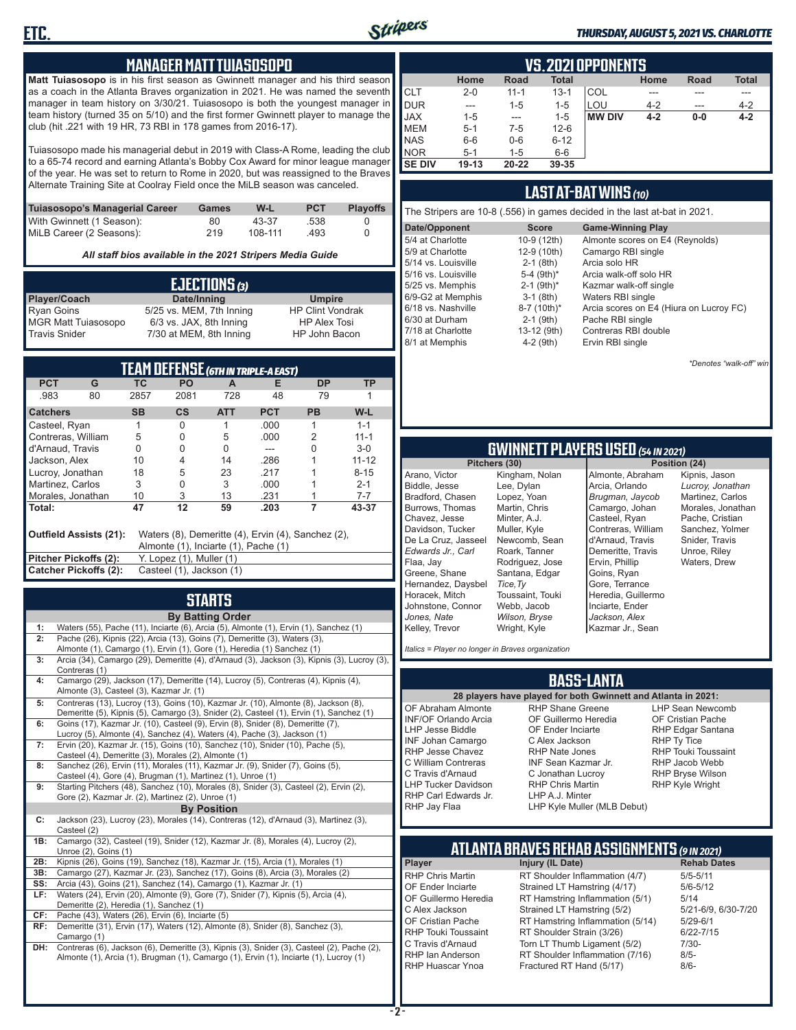

#### *THURSDAY, AUGUST 5, 2021 VS. CHARLOTTE*

#### **MANAGER MATT TUIASOSOPO**

**Matt Tuiasosopo** is in his first season as Gwinnett manager and his third season as a coach in the Atlanta Braves organization in 2021. He was named the seventh manager in team history on 3/30/21. Tuiasosopo is both the youngest manager in team history (turned 35 on 5/10) and the first former Gwinnett player to manage the club (hit .221 with 19 HR, 73 RBI in 178 games from 2016-17).

Tuiasosopo made his managerial debut in 2019 with Class-A Rome, leading the club to a 65-74 record and earning Atlanta's Bobby Cox Award for minor league manager of the year. He was set to return to Rome in 2020, but was reassigned to the Braves Alternate Training Site at Coolray Field once the MiLB season was canceled.

| Tuiasosopo's Managerial Career | Games | W-L     | <b>PCT</b> | <b>Plavoffs</b> |
|--------------------------------|-------|---------|------------|-----------------|
| With Gwinnett (1 Season):      | 80    | 43-37   | .538       |                 |
| MiLB Career (2 Seasons):       | 219   | 108-111 | .493       |                 |

*All staff bios available in the 2021 Stripers Media Guide*

| EJECTIONS (3)              |                          |                         |  |  |  |
|----------------------------|--------------------------|-------------------------|--|--|--|
| Player/Coach               | Date/Inning              | <b>Umpire</b>           |  |  |  |
| <b>Ryan Goins</b>          | 5/25 vs. MEM, 7th Inning | <b>HP Clint Vondrak</b> |  |  |  |
| <b>MGR Matt Tuiasosopo</b> | 6/3 vs. JAX, 8th Inning  | <b>HP Alex Tosi</b>     |  |  |  |
| <b>Travis Snider</b>       | 7/30 at MEM, 8th Inning  | HP John Bacon           |  |  |  |

| TEAM DEFENSE (6TH IN TRIPLE-A EAST)                                                                                  |                       |           |                          |            |            |           |           |
|----------------------------------------------------------------------------------------------------------------------|-----------------------|-----------|--------------------------|------------|------------|-----------|-----------|
| <b>PCT</b>                                                                                                           | G                     | ТC        | <b>PO</b>                | A          | Е          | <b>DP</b> | ТP        |
| .983                                                                                                                 | 80                    | 2857      | 2081                     | 728        | 48         | 79        |           |
| <b>Catchers</b>                                                                                                      |                       | <b>SB</b> | $\mathsf{cs}$            | <b>ATT</b> | <b>PCT</b> | <b>PB</b> | W-L       |
| Casteel, Ryan                                                                                                        |                       |           | 0                        |            | .000       |           | $1 - 1$   |
| Contreras, William                                                                                                   |                       | 5         | 0                        | 5          | .000       | 2         | $11 - 1$  |
| d'Arnaud. Travis                                                                                                     |                       | 0         | 0                        | 0          |            | ი         | $3-0$     |
| Jackson, Alex                                                                                                        |                       | 10        | 4                        | 14         | .286       |           | $11 - 12$ |
| Lucroy, Jonathan                                                                                                     |                       | 18        | 5                        | 23         | .217       |           | $8 - 15$  |
| Martinez, Carlos                                                                                                     |                       | 3         | 0                        | 3          | .000       |           | $2 - 1$   |
| Morales, Jonathan                                                                                                    |                       | 10        | 3                        | 13         | .231       |           | 7-7       |
| l Total:                                                                                                             |                       | 47        | 12                       | 59         | .203       | 7         | 43-37     |
| Outfield Assists (21):<br>Waters (8), Demeritte (4), Ervin (4), Sanchez (2),<br>Almonte (1), Inciarte (1), Pache (1) |                       |           |                          |            |            |           |           |
| Pitcher Pickoffs (2):                                                                                                |                       |           | Y. Lopez (1), Muller (1) |            |            |           |           |
|                                                                                                                      | Catcher Pickoffs (2): |           | Casteel (1), Jackson (1) |            |            |           |           |

## **STARTS**

|                    | <b>By Batting Order</b>                                                                     |  |  |  |  |  |  |  |
|--------------------|---------------------------------------------------------------------------------------------|--|--|--|--|--|--|--|
| 1:                 | Waters (55), Pache (11), Inciarte (6), Arcia (5), Almonte (1), Ervin (1), Sanchez (1)       |  |  |  |  |  |  |  |
| 2:                 | Pache (26), Kipnis (22), Arcia (13), Goins (7), Demeritte (3), Waters (3),                  |  |  |  |  |  |  |  |
|                    | Almonte (1), Camargo (1), Ervin (1), Gore (1), Heredia (1) Sanchez (1)                      |  |  |  |  |  |  |  |
| 3:                 | Arcia (34), Camargo (29), Demeritte (4), d'Arnaud (3), Jackson (3), Kipnis (3), Lucroy (3), |  |  |  |  |  |  |  |
|                    | Contreras (1)                                                                               |  |  |  |  |  |  |  |
| 4:                 | Camargo (29), Jackson (17), Demeritte (14), Lucroy (5), Contreras (4), Kipnis (4),          |  |  |  |  |  |  |  |
|                    | Almonte (3), Casteel (3), Kazmar Jr. (1)                                                    |  |  |  |  |  |  |  |
| 5:                 | Contreras (13), Lucroy (13), Goins (10), Kazmar Jr. (10), Almonte (8), Jackson (8),         |  |  |  |  |  |  |  |
|                    | Demeritte (5), Kipnis (5), Camargo (3), Snider (2), Casteel (1), Ervin (1), Sanchez (1)     |  |  |  |  |  |  |  |
| 6:                 | Goins (17), Kazmar Jr. (10), Casteel (9), Ervin (8), Snider (8), Demeritte (7),             |  |  |  |  |  |  |  |
|                    | Lucroy (5), Almonte (4), Sanchez (4), Waters (4), Pache (3), Jackson (1)                    |  |  |  |  |  |  |  |
| 7:                 | Ervin (20), Kazmar Jr. (15), Goins (10), Sanchez (10), Snider (10), Pache (5),              |  |  |  |  |  |  |  |
|                    | Casteel (4), Demeritte (3), Morales (2), Almonte (1)                                        |  |  |  |  |  |  |  |
| 8:                 | Sanchez (26), Ervin (11), Morales (11), Kazmar Jr. (9), Snider (7), Goins (5),              |  |  |  |  |  |  |  |
|                    | Casteel (4), Gore (4), Brugman (1), Martinez (1), Unroe (1)                                 |  |  |  |  |  |  |  |
| 9:                 | Starting Pitchers (48), Sanchez (10), Morales (8), Snider (3), Casteel (2), Ervin (2),      |  |  |  |  |  |  |  |
|                    | Gore (2), Kazmar Jr. (2), Martinez (2), Unroe (1)                                           |  |  |  |  |  |  |  |
| <b>By Position</b> |                                                                                             |  |  |  |  |  |  |  |
| C:                 | Jackson (23), Lucroy (23), Morales (14), Contreras (12), d'Arnaud (3), Martinez (3),        |  |  |  |  |  |  |  |
|                    | Casteel (2)                                                                                 |  |  |  |  |  |  |  |
| 1B:                | Camargo (32), Casteel (19), Snider (12), Kazmar Jr. (8), Morales (4), Lucroy (2),           |  |  |  |  |  |  |  |
|                    | Unroe (2), Goins (1)                                                                        |  |  |  |  |  |  |  |
| 2B:                | Kipnis (26), Goins (19), Sanchez (18), Kazmar Jr. (15), Arcia (1), Morales (1)              |  |  |  |  |  |  |  |
| 3B:                | Camargo (27), Kazmar Jr. (23), Sanchez (17), Goins (8), Arcia (3), Morales (2)              |  |  |  |  |  |  |  |
| SS:                | Arcia (43), Goins (21), Sanchez (14), Camargo (1), Kazmar Jr. (1)                           |  |  |  |  |  |  |  |
| LF:                | Waters (24), Ervin (20), Almonte (9), Gore (7), Snider (7), Kipnis (5), Arcia (4),          |  |  |  |  |  |  |  |
|                    | Demeritte (2), Heredia (1), Sanchez (1)                                                     |  |  |  |  |  |  |  |
| CF:                | Pache (43), Waters (26), Ervin (6), Inciarte (5)                                            |  |  |  |  |  |  |  |
| RF:                | Demeritte (31), Ervin (17), Waters (12), Almonte (8), Snider (8), Sanchez (3),              |  |  |  |  |  |  |  |
|                    | Camargo (1)                                                                                 |  |  |  |  |  |  |  |
| DH:                | Contreras (6), Jackson (6), Demeritte (3), Kipnis (3), Snider (3), Casteel (2), Pache (2),  |  |  |  |  |  |  |  |
|                    | Almonte (1), Arcia (1), Brugman (1), Camargo (1), Ervin (1), Inciarte (1), Lucroy (1)       |  |  |  |  |  |  |  |
|                    |                                                                                             |  |  |  |  |  |  |  |
|                    |                                                                                             |  |  |  |  |  |  |  |

|             | VS. 2021 OPPONENTS |          |              |               |         |             |              |  |  |  |  |  |  |
|-------------|--------------------|----------|--------------|---------------|---------|-------------|--------------|--|--|--|--|--|--|
|             | Home               | Road     | <b>Total</b> |               | Home    | <b>Road</b> | <b>Total</b> |  |  |  |  |  |  |
| ICLT        | $2 - 0$            | $11 - 1$ | $13 - 1$     | COL           | ---     | ---         | ---          |  |  |  |  |  |  |
| <b>DUR</b>  | ---                | $1 - 5$  | $1 - 5$      | LOU           | $4 - 2$ | $---$       | $4 - 2$      |  |  |  |  |  |  |
| <b>JAX</b>  | $1 - 5$            | ---      | $1 - 5$      | <b>MW DIV</b> | $4 - 2$ | $0-0$       | $4 - 2$      |  |  |  |  |  |  |
| <b>IMEM</b> | $5 - 1$            | 7-5      | $12 - 6$     |               |         |             |              |  |  |  |  |  |  |
| <b>INAS</b> | $6-6$              | $0-6$    | $6 - 12$     |               |         |             |              |  |  |  |  |  |  |
| <b>NOR</b>  | $5 - 1$            | $1-5$    | $6-6$        |               |         |             |              |  |  |  |  |  |  |
| I SE DIV    | $19 - 13$          | 20-22    | 39-35        |               |         |             |              |  |  |  |  |  |  |

### **LAST AT-BAT WINS** *(10)*

| The Stripers are 10-8 (.556) in games decided in the last at-bat in 2021. |                          |                                         |  |  |  |  |  |  |  |
|---------------------------------------------------------------------------|--------------------------|-----------------------------------------|--|--|--|--|--|--|--|
| Date/Opponent                                                             | <b>Score</b>             | <b>Game-Winning Play</b>                |  |  |  |  |  |  |  |
| 5/4 at Charlotte                                                          | 10-9 (12th)              | Almonte scores on E4 (Reynolds)         |  |  |  |  |  |  |  |
| 5/9 at Charlotte                                                          | 12-9 (10th)              | Camargo RBI single                      |  |  |  |  |  |  |  |
| 5/14 vs. Louisville                                                       | $2-1$ (8th)              | Arcia solo HR                           |  |  |  |  |  |  |  |
| 5/16 vs. Louisville                                                       | 5-4 (9th)*               | Arcia walk-off solo HR                  |  |  |  |  |  |  |  |
| 5/25 vs. Memphis                                                          | $2-1$ (9th) <sup>*</sup> | Kazmar walk-off single                  |  |  |  |  |  |  |  |
| 6/9-G2 at Memphis                                                         | $3-1$ (8th)              | Waters RBI single                       |  |  |  |  |  |  |  |
| 6/18 vs. Nashville                                                        | 8-7 (10th)*              | Arcia scores on E4 (Hiura on Lucroy FC) |  |  |  |  |  |  |  |
| 6/30 at Durham                                                            | $2-1$ (9th)              | Pache RBI single                        |  |  |  |  |  |  |  |
| 7/18 at Charlotte                                                         | 13-12 (9th)              | Contreras RBI double                    |  |  |  |  |  |  |  |
| 8/1 at Memphis                                                            | $4-2$ (9th)              | Ervin RBI single                        |  |  |  |  |  |  |  |

*\*Denotes "walk-off" win*

# **GWINNETT PLAYERS USED** *(54 IN 2021)*

**Pitchers (30)** Arano, Victor Biddle, Jesse Bradford, Chasen Burrows, Thomas Chavez, Jesse Davidson, Tucker De La Cruz, Jasseel *Edwards Jr., Carl* Flaa, Jay Greene, Shane Hernandez, Daysbel Horacek, Mitch Johnstone, Connor *Jones, Nate* Kelley, Trevor

Kingham, Nolan Lee, Dylan Lopez, Yoan Martin, Chris Minter, A.J. Muller, Kyle Newcomb, Sean Roark, Tanner Rodriguez, Jose Santana, Edgar *Tice,Ty* Toussaint, Touki Webb, Jacob *Wilson, Bryse* Wright, Kyle

Almonte, Abraham Arcia, Orlando *Brugman, Jaycob* Camargo, Johan Casteel, Ryan Contreras, William d'Arnaud, Travis Demeritte, Travis Ervin, Phillip Goins, Ryan Gore, Terrance Heredia, Guillermo Inciarte, Ender *Jackson, Alex* Kazmar Jr., Sean

Kipnis, Jason *Lucroy, Jonathan* Martinez, Carlos Morales, Jonathan Pache, Cristian Sanchez, Yolmer Snider, Travis Unroe, Riley Waters, Drew

*Italics = Player no longer in Braves organization*

### **BASS-LANTA**

OF Abraham Almonte INF/OF Orlando Arcia LHP Jesse Biddle INF Johan Camargo RHP Jesse Chavez C William Contreras C Travis d'Arnaud LHP Tucker Davidson RHP Carl Edwards Jr. RHP Jay Flaa

**28 players have played for both Gwinnett and Atlanta in 2021:** RHP Shane Greene OF Guillermo Heredia OF Ender Inciarte C Alex Jackson RHP Nate Jones INF Sean Kazmar Jr. C Jonathan Lucroy RHP Chris Martin LHP A.J. Minter

LHP Sean Newcomb OF Cristian Pache RHP Edgar Santana RHP Ty Tice RHP Touki Toussaint RHP Jacob Webb RHP Bryse Wilson RHP Kyle Wright

LHP Kyle Muller (MLB Debut)

## **ATLANTA BRAVES REHAB ASSIGNMENTS** *(9 IN 2021)*

**Player Injury (IL Date)** 

RHP Chris Martin RT Shoulder Inflammation (4/7) 5/5-5/11<br>CF Ender Inciarte Strained I T Hamstring (4/17) 5/6-5/12 OF Ender Inciarte Strained LT Hamstring (4/17) 5/6-5<br>OF Guillermo Heredia RT Hamstring Inflammation (5/1) 5/14 OF Guillermo Heredia RT Hamstring Inflammation (5/1) 5/14<br>C Alex Jackson Strained LT Hamstring (5/2) 5/21-6/9, 6/30-7/20 C Alex Jackson Strained LT Hamstring (5/2) 5/21-6/9<br>CF Cristian Pache RT Hamstring Inflammation (5/14) 5/29-6/1 OF Cristian Pache RT Hamstring Inflammation (5/14)<br>RHP Touki Toussaint RT Shoulder Strain (3/26) RHP Touki Toussaint RT Shoulder Strain (3/26) 6/22-7/15<br>C Travis d'Arnaud Torn LT Thumb Ligament (5/2) 7/30-C Travis d'Arnaud Torn LT Thumb Ligament (5/2) 7/30<br>RHP Ian Anderson RT Shoulder Inflammation (7/16) 8/5-RHP Ian Anderson RT Shoulder Inflammation (7/16)<br>RHP Huascar Ynoa Fractured RT Hand (5/17) Fractured RT Hand (5/17) 8/6-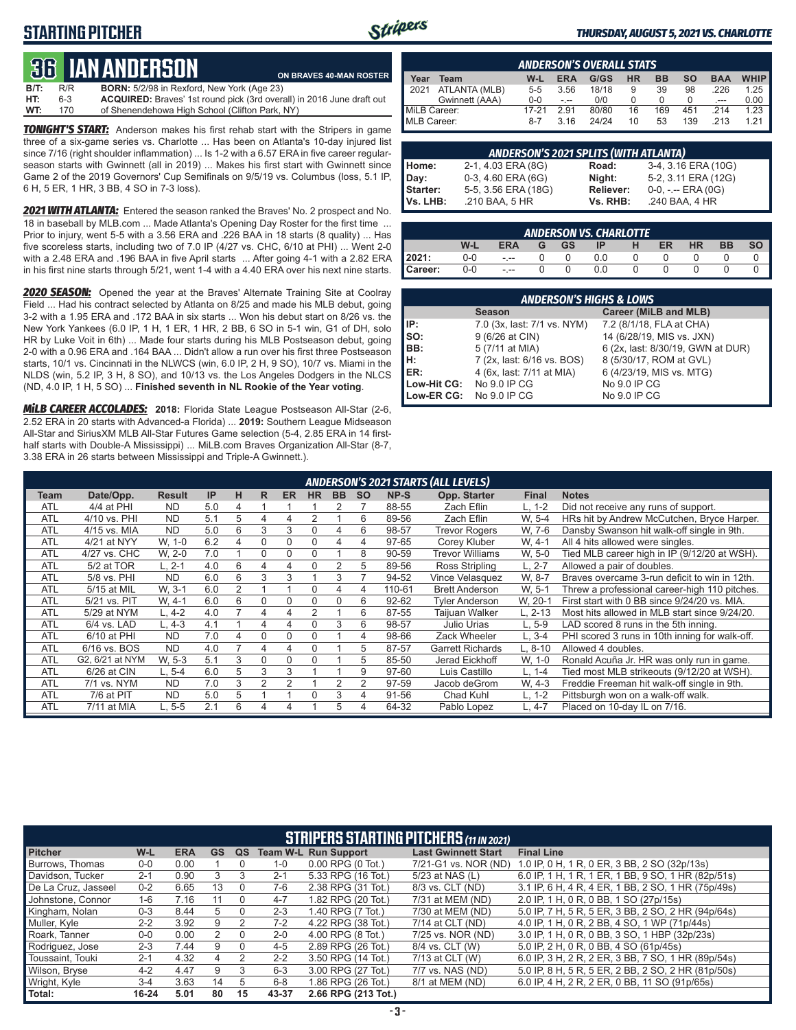### **STARTING PITCHER**



**ON BRAVES 40-MAN ROSTER**

#### *THURSDAY, AUGUST 5, 2021 VS. CHARLOTTE*

# **36****IAN ANDERSON**

| $B/T$ : | R/R | <b>BORN:</b> 5/2/98 in Rexford, New York (Age 23)                     |
|---------|-----|-----------------------------------------------------------------------|
| HT:     | 6-3 | ACQUIRED: Braves' 1st round pick (3rd overall) in 2016 June draft out |
| WT:     | 170 | of Shenendehowa High School (Clifton Park, NY)                        |

*TONIGHT'S START:* Anderson makes his first rehab start with the Stripers in game three of a six-game series vs. Charlotte ... Has been on Atlanta's 10-day injured list since 7/16 (right shoulder inflammation) ... Is 1-2 with a 6.57 ERA in five career regularseason starts with Gwinnett (all in 2019) ... Makes his first start with Gwinnett since Game 2 of the 2019 Governors' Cup Semifinals on 9/5/19 vs. Columbus (loss, 5.1 IP, 6 H, 5 ER, 1 HR, 3 BB, 4 SO in 7-3 loss).

*2021 WITH ATLANTA:* Entered the season ranked the Braves' No. 2 prospect and No. 18 in baseball by MLB.com ... Made Atlanta's Opening Day Roster for the first time ... Prior to injury, went 5-5 with a 3.56 ERA and .226 BAA in 18 starts (8 quality) ... Has five scoreless starts, including two of 7.0 IP (4/27 vs. CHC, 6/10 at PHI) ... Went 2-0 with a 2.48 ERA and .196 BAA in five April starts ... After going 4-1 with a 2.82 ERA in his first nine starts through 5/21, went 1-4 with a 4.40 ERA over his next nine starts.

*2020 SEASON:* Opened the year at the Braves' Alternate Training Site at Coolray Field ... Had his contract selected by Atlanta on 8/25 and made his MLB debut, going 3-2 with a 1.95 ERA and .172 BAA in six starts ... Won his debut start on 8/26 vs. the New York Yankees (6.0 IP, 1 H, 1 ER, 1 HR, 2 BB, 6 SO in 5-1 win, G1 of DH, solo HR by Luke Voit in 6th) ... Made four starts during his MLB Postseason debut, going 2-0 with a 0.96 ERA and .164 BAA ... Didn't allow a run over his first three Postseason starts, 10/1 vs. Cincinnati in the NLWCS (win, 6.0 IP, 2 H, 9 SO), 10/7 vs. Miami in the NLDS (win, 5.2 IP, 3 H, 8 SO), and 10/13 vs. the Los Angeles Dodgers in the NLCS (ND, 4.0 IP, 1 H, 5 SO) ... **Finished seventh in NL Rookie of the Year voting**.

*MiLB CAREER ACCOLADES:* **2018:** Florida State League Postseason All-Star (2-6, 2.52 ERA in 20 starts with Advanced-a Florida) ... **2019:** Southern League Midseason All-Star and SiriusXM MLB All-Star Futures Game selection (5-4, 2.85 ERA in 14 firsthalf starts with Double-A Mississippi) ... MiLB.com Braves Organization All-Star (8-7, 3.38 ERA in 26 starts between Mississippi and Triple-A Gwinnett.).

|              | <b>ANDERSON'S OVERALL STATS</b> |         |            |       |           |           |     |            |             |  |  |  |  |
|--------------|---------------------------------|---------|------------|-------|-----------|-----------|-----|------------|-------------|--|--|--|--|
| Year         | Team                            | W-L     | <b>ERA</b> | G/GS  | <b>HR</b> | <b>BB</b> | so  | <b>BAA</b> | <b>WHIP</b> |  |  |  |  |
| 12021        | ATLANTA (MLB)                   | $5 - 5$ | 3.56       | 18/18 | 9         | 39        | 98  | 226        | 1.25        |  |  |  |  |
|              | Gwinnett (AAA)                  | $0 - 0$ | $-1 - 1$   | 0/0   |           |           |     | ---        | 0.00        |  |  |  |  |
| MiLB Career: |                                 | 17-21   | 291        | 80/80 | 16        | 169       | 451 | 214        | 1.23        |  |  |  |  |
| MLB Career:  |                                 | $8-7$   | 3.16       | 24/24 | 10        | 53        | 139 | .213       | 1 21        |  |  |  |  |

| <b>ANDERSON'S 2021 SPLITS (WITH ATLANTA)</b> |                     |           |                       |  |  |  |  |  |  |  |  |
|----------------------------------------------|---------------------|-----------|-----------------------|--|--|--|--|--|--|--|--|
| Home:                                        | 2-1, 4.03 ERA (8G)  | Road:     | 3-4, 3.16 ERA (10G)   |  |  |  |  |  |  |  |  |
| Day:                                         | 0-3, 4.60 ERA (6G)  | Night:    | 5-2, 3.11 ERA (12G)   |  |  |  |  |  |  |  |  |
| Starter:                                     | 5-5, 3.56 ERA (18G) | Reliever: | $0-0, - -$ ERA $(0G)$ |  |  |  |  |  |  |  |  |
| Vs. LHB:                                     | .210 BAA, 5 HR      | Vs. RHB:  | .240 BAA, 4 HR        |  |  |  |  |  |  |  |  |

|         | <b>ANDERSON VS. CHARLOTTE</b> |            |   |           |     |   |    |           |           |    |  |  |  |  |
|---------|-------------------------------|------------|---|-----------|-----|---|----|-----------|-----------|----|--|--|--|--|
|         | W-L                           | <b>ERA</b> | G | <b>GS</b> | ΙP  | н | ER | <b>HR</b> | <b>BB</b> | SO |  |  |  |  |
| 2021:   | 0-0                           | $ -$       |   |           | 0.0 |   |    |           |           |    |  |  |  |  |
| Career: | $0-0$                         | $ -$       |   |           | 0.0 |   |    |           |           |    |  |  |  |  |

|             | <b>ANDERSON'S HIGHS &amp; LOWS</b> |                                   |  |  |  |  |  |  |  |  |  |
|-------------|------------------------------------|-----------------------------------|--|--|--|--|--|--|--|--|--|
|             | <b>Season</b>                      | Career (MiLB and MLB)             |  |  |  |  |  |  |  |  |  |
| IP:         | 7.0 (3x, last: 7/1 vs. NYM)        | 7.2 (8/1/18, FLA at CHA)          |  |  |  |  |  |  |  |  |  |
| SO:         | 9 (6/26 at CIN)                    | 14 (6/28/19, MIS vs. JXN)         |  |  |  |  |  |  |  |  |  |
| BB:         | 5 (7/11 at MIA)                    | 6 (2x, last: 8/30/19, GWN at DUR) |  |  |  |  |  |  |  |  |  |
| н:          | 7 (2x, last: 6/16 vs. BOS)         | 8 (5/30/17, ROM at GVL)           |  |  |  |  |  |  |  |  |  |
| ER:         | 4 (6x, last: 7/11 at MIA)          | 6 (4/23/19, MIS vs. MTG)          |  |  |  |  |  |  |  |  |  |
| Low-Hit CG: | No 9.0 IP CG                       | No 9.0 IP CG                      |  |  |  |  |  |  |  |  |  |
| Low-ER CG:  | No 9.0 IP CG                       | No 9.0 IP CG                      |  |  |  |  |  |  |  |  |  |

|            | <b>ANDERSON'S 2021 STARTS (ALL LEVELS)</b> |               |           |   |    |           |           |           |           |           |                         |              |                                                |
|------------|--------------------------------------------|---------------|-----------|---|----|-----------|-----------|-----------|-----------|-----------|-------------------------|--------------|------------------------------------------------|
| Team       | Date/Opp.                                  | <b>Result</b> | <b>IP</b> | н | R. | <b>ER</b> | <b>HR</b> | <b>BB</b> | <b>SO</b> | NP-S      | Opp. Starter            | <b>Final</b> | <b>Notes</b>                                   |
| <b>ATL</b> | 4/4 at PHI                                 | <b>ND</b>     | 5.0       | 4 |    |           |           |           |           | 88-55     | Zach Eflin              | L, 1-2       | Did not receive any runs of support.           |
| <b>ATL</b> | 4/10 vs. PHI                               | <b>ND</b>     | 5.1       | 5 | 4  | 4         | 2         |           | 6         | 89-56     | Zach Eflin              | W. 5-4       | HRs hit by Andrew McCutchen, Bryce Harper.     |
| <b>ATL</b> | 4/15 vs. MIA                               | <b>ND</b>     | 5.0       | 6 | 3  | 3         | 0         | 4         | 6         | 98-57     | <b>Trevor Rogers</b>    | W. 7-6       | Dansby Swanson hit walk-off single in 9th.     |
| <b>ATL</b> | 4/21 at NYY                                | W, 1-0        | 6.2       | 4 | 0  | $\Omega$  | 0         | 4         | 4         | 97-65     | Corey Kluber            | W. 4-1       | All 4 hits allowed were singles.               |
| <b>ATL</b> | 4/27 vs. CHC                               | W. 2-0        | 7.0       |   | 0  | $\Omega$  | 0         |           | 8         | 90-59     | Trevor Williams         | W, 5-0       | Tied MLB career high in IP (9/12/20 at WSH).   |
| <b>ATL</b> | 5/2 at TOR                                 | L. 2-1        | 4.0       | 6 | 4  | 4         | $\Omega$  | 2         | 5         | 89-56     | Ross Stripling          | $L. 2-7$     | Allowed a pair of doubles.                     |
| <b>ATL</b> | 5/8 vs. PHI                                | <b>ND</b>     | 6.0       | 6 | 3  | 3         |           | 3         |           | 94-52     | Vince Velasquez         | W, 8-7       | Braves overcame 3-run deficit to win in 12th.  |
| <b>ATL</b> | 5/15 at MIL                                | W. 3-1        | 6.0       | 2 |    |           | 0         | 4         | 4         | 110-61    | <b>Brett Anderson</b>   | W, 5-1       | Threw a professional career-high 110 pitches.  |
| <b>ATL</b> | 5/21 vs. PIT                               | W. 4-1        | 6.0       | 6 | 0  | $\Omega$  | 0         | $\Omega$  | 6         | $92 - 62$ | <b>Tyler Anderson</b>   | W. 20-1      | First start with 0 BB since 9/24/20 vs. MIA.   |
| <b>ATL</b> | 5/29 at NYM                                | L. 4-2        | 4.0       |   | 4  | 4         | 2         |           | 6         | 87-55     | Taijuan Walker          | L. 2-13      | Most hits allowed in MLB start since 9/24/20.  |
| <b>ATL</b> | 6/4 vs. LAD                                | $-4-3$        | 4.1       |   | 4  | 4         | ი         | 3         | 6         | 98-57     | Julio Urias             | L, 5-9       | LAD scored 8 runs in the 5th inning.           |
| <b>ATL</b> | 6/10 at PHI                                | <b>ND</b>     | 7.0       | 4 | 0  | $\Omega$  | $\Omega$  |           | 4         | 98-66     | Zack Wheeler            | $L, 3-4$     | PHI scored 3 runs in 10th inning for walk-off. |
| <b>ATL</b> | 6/16 vs. BOS                               | <b>ND</b>     | 4.0       |   | 4  | 4         | 0         |           | 5         | 87-57     | <b>Garrett Richards</b> | L. 8-10      | Allowed 4 doubles.                             |
| ATL        | G2, 6/21 at NYM                            | W. 5-3        | 5.1       | 3 | 0  | $\Omega$  | 0         |           | 5         | 85-50     | Jerad Eickhoff          | W, 1-0       | Ronald Acuña Jr. HR was only run in game.      |
| <b>ATL</b> | 6/26 at CIN                                | $L, 5-4$      | 6.0       | 5 | 3  | 3         |           |           | 9         | 97-60     | Luis Castillo           | L, 1-4       | Tied most MLB strikeouts (9/12/20 at WSH).     |
| <b>ATL</b> | 7/1 vs. NYM                                | <b>ND</b>     | 7.0       | 3 | 2  | 2         |           | 2         | 2         | 97-59     | Jacob deGrom            | W. 4-3       | Freddie Freeman hit walk-off single in 9th.    |
| <b>ATL</b> | 7/6 at PIT                                 | <b>ND</b>     | 5.0       | 5 |    |           | ი         | 3         | 4         | 91-56     | Chad Kuhl               | $L. 1-2$     | Pittsburgh won on a walk-off walk.             |
| <b>ATL</b> | 7/11 at MIA                                | L. 5-5        | 2.1       | 6 |    | 4         |           | 5         | 4         | 64-32     | Pablo Lopez             | L. 4-7       | Placed on 10-day IL on 7/16.                   |

|                     | <b>STRIPERS STARTING PITCHERS (11 IN 2021)</b> |            |           |               |         |                             |                            |                                                    |  |  |  |  |  |
|---------------------|------------------------------------------------|------------|-----------|---------------|---------|-----------------------------|----------------------------|----------------------------------------------------|--|--|--|--|--|
| <b>Pitcher</b>      | W-L                                            | <b>ERA</b> | <b>GS</b> | QS            |         | <b>Team W-L Run Support</b> | <b>Last Gwinnett Start</b> | <b>Final Line</b>                                  |  |  |  |  |  |
| Burrows, Thomas     | $0 - 0$                                        | 0.00       |           | 0             | $1 - 0$ | $0.00$ RPG $(0$ Tot.)       | 7/21-G1 vs. NOR (ND)       | 1.0 IP, 0 H, 1 R, 0 ER, 3 BB, 2 SO (32p/13s)       |  |  |  |  |  |
| Davidson. Tucker    | $2 - 1$                                        | 0.90       | 3         | 3             | $2 - 1$ | 5.33 RPG (16 Tot.)          | 5/23 at NAS (L)            | 6.0 IP, 1 H, 1 R, 1 ER, 1 BB, 9 SO, 1 HR (82p/51s) |  |  |  |  |  |
| De La Cruz. Jasseel | $0 - 2$                                        | 6.65       | 13        | $\Omega$      | 7-6     | 2.38 RPG (31 Tot.)          | 8/3 vs. CLT (ND)           | 3.1 IP, 6 H, 4 R, 4 ER, 1 BB, 2 SO, 1 HR (75p/49s) |  |  |  |  |  |
| Johnstone, Connor   | $1 - 6$                                        | 7.16       | 11        | $\Omega$      | $4 - 7$ | 1.82 RPG (20 Tot.)          | 7/31 at MEM (ND)           | 2.0 IP, 1 H, 0 R, 0 BB, 1 SO (27p/15s)             |  |  |  |  |  |
| Kingham, Nolan      | $0 - 3$                                        | 8.44       | 5         | $\Omega$      | $2 - 3$ | 1.40 RPG (7 Tot.)           | 7/30 at MEM (ND)           | 5.0 IP, 7 H, 5 R, 5 ER, 3 BB, 2 SO, 2 HR (94p/64s) |  |  |  |  |  |
| Muller, Kyle        | $2 - 2$                                        | 3.92       | 9         | $\mathcal{P}$ | $7-2$   | 4.22 RPG (38 Tot.)          | 7/14 at CLT (ND)           | 4.0 IP, 1 H, 0 R, 2 BB, 4 SO, 1 WP (71p/44s)       |  |  |  |  |  |
| Roark, Tanner       | $0-0$                                          | 0.00       | 2         | $\Omega$      | $2 - 0$ | 4.00 RPG (8 Tot.)           | 7/25 vs. NOR (ND)          | 3.0 IP, 1 H, 0 R, 0 BB, 3 SO, 1 HBP (32p/23s)      |  |  |  |  |  |
| Rodriguez, Jose     | $2 - 3$                                        | 7.44       | 9         | $\Omega$      | $4 - 5$ | 2.89 RPG (26 Tot.)          | 8/4 vs. CLT (W)            | 5.0 IP, 2 H, 0 R, 0 BB, 4 SO (61p/45s)             |  |  |  |  |  |
| Toussaint. Touki    | $2 - 1$                                        | 4.32       | 4         | 2             | $2 - 2$ | 3.50 RPG (14 Tot.)          | 7/13 at CLT (W)            | 6.0 IP, 3 H, 2 R, 2 ER, 3 BB, 7 SO, 1 HR (89p/54s) |  |  |  |  |  |
| Wilson, Bryse       | $4 - 2$                                        | 4.47       | 9         | 3             | $6 - 3$ | 3.00 RPG (27 Tot.)          | 7/7 vs. NAS (ND)           | 5.0 IP, 8 H, 5 R, 5 ER, 2 BB, 2 SO, 2 HR (81p/50s) |  |  |  |  |  |
| Wright, Kyle        | $3 - 4$                                        | 3.63       | 14        | 5             | $6 - 8$ | 1.86 RPG (26 Tot.)          | 8/1 at MEM (ND)            | 6.0 IP, 4 H, 2 R, 2 ER, 0 BB, 11 SO (91p/65s)      |  |  |  |  |  |
| Total:              | $16 - 24$                                      | 5.01       | 80        | 15            | 43-37   | 2.66 RPG (213 Tot.)         |                            |                                                    |  |  |  |  |  |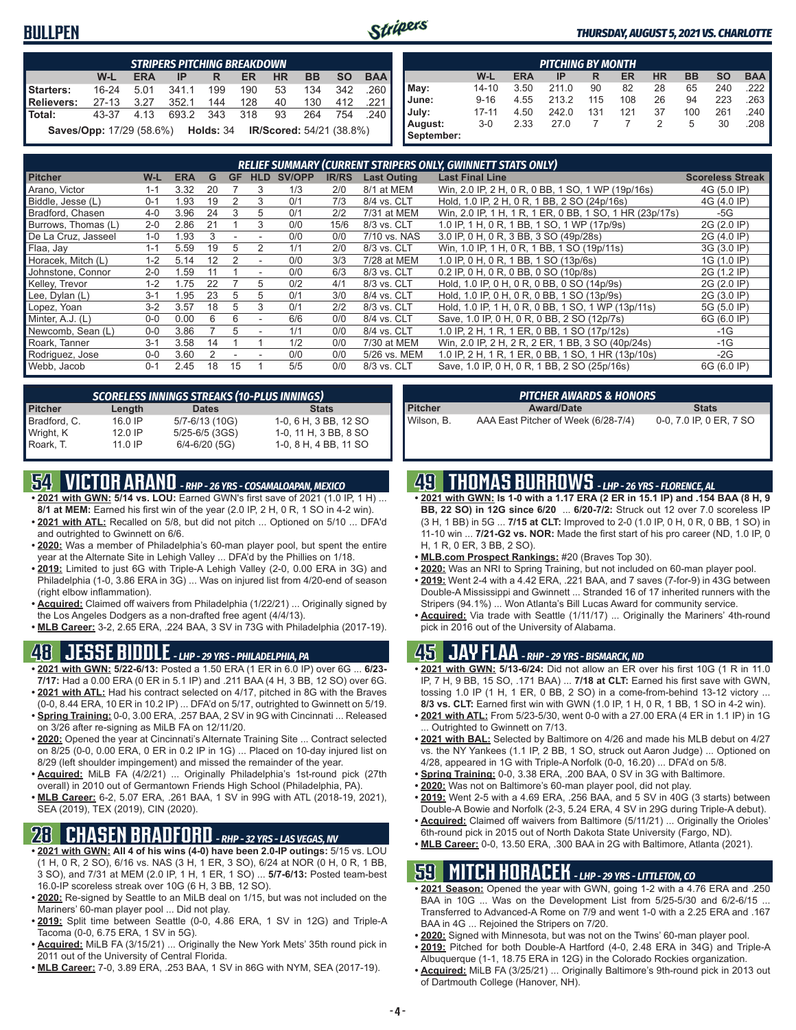### **BULLPEN**



#### *THURSDAY, AUGUST 5, 2021 VS. CHARLOTTE*

|                   | <b>STRIPERS PITCHING BREAKDOWN</b>                                        |            |           |     |     |           |           |           |            |  |  |  |  |
|-------------------|---------------------------------------------------------------------------|------------|-----------|-----|-----|-----------|-----------|-----------|------------|--|--|--|--|
|                   | W-L                                                                       | <b>ERA</b> | IP        | R   | ER  | <b>HR</b> | <b>BB</b> | <b>SO</b> | <b>BAA</b> |  |  |  |  |
| Starters:         | $16 - 24$                                                                 | 5.01       | 341.1     | 199 | 190 | 53        | 134       | 342       | .260 l     |  |  |  |  |
| <b>Relievers:</b> | $27-13$                                                                   | 3.27       | 352.1     | 144 | 128 | 40        | 130       | 412       | .221       |  |  |  |  |
| Total:            | 43-37                                                                     | 4.13       | 693.2 343 |     | 318 | 93        | 264       |           | 754.240    |  |  |  |  |
|                   | <b>Saves/Opp:</b> 17/29 (58.6%) <b>Holds: 34 IR/Scored: 54/21 (38.8%)</b> |            |           |     |     |           |           |           |            |  |  |  |  |

|                       | <b>PITCHING BY MONTH</b> |            |       |     |           |           |           |           |            |  |  |  |  |  |
|-----------------------|--------------------------|------------|-------|-----|-----------|-----------|-----------|-----------|------------|--|--|--|--|--|
|                       | W-L                      | <b>ERA</b> | IP    | R   | <b>ER</b> | <b>HR</b> | <b>BB</b> | <b>SO</b> | <b>BAA</b> |  |  |  |  |  |
| May:                  | 14-10                    | 3.50       | 211.0 | 90  | 82        | 28        | 65        | 240       | .222       |  |  |  |  |  |
| June:                 | $9 - 16$                 | 4.55       | 213.2 | 115 | 108       | 26        | 94        | 223       | 263        |  |  |  |  |  |
| July:                 | $17 - 11$                | 4.50       | 242.0 | 131 | 121       | 37        | 100       | 261       | .240       |  |  |  |  |  |
| August:<br>September: | $3-0$                    | 2.33       | 27.0  |     |           | 2         | 5         | 30        | .208       |  |  |  |  |  |

|                     | <b>RELIEF SUMMARY (CURRENT STRIPERS ONLY, GWINNETT STATS ONLY)</b> |            |    |           |            |               |              |                    |                                                         |                         |  |  |
|---------------------|--------------------------------------------------------------------|------------|----|-----------|------------|---------------|--------------|--------------------|---------------------------------------------------------|-------------------------|--|--|
| <b>Pitcher</b>      | W-L                                                                | <b>ERA</b> | G  | <b>GF</b> | <b>HLD</b> | <b>SV/OPP</b> | <b>IR/RS</b> | <b>Last Outing</b> | <b>Last Final Line</b>                                  | <b>Scoreless Streak</b> |  |  |
| Arano, Victor       | 1-1                                                                | 3.32       | 20 |           | 3          | 1/3           | 2/0          | 8/1 at MEM         | Win, 2.0 IP, 2 H, 0 R, 0 BB, 1 SO, 1 WP (19p/16s)       | 4G (5.0 IP)             |  |  |
| Biddle, Jesse (L)   | $0 - 1$                                                            | 1.93       | 19 |           | 3          | 0/1           | 7/3          | 8/4 vs. CLT        | Hold, 1.0 IP, 2 H, 0 R, 1 BB, 2 SO (24p/16s)            | 4G (4.0 IP)             |  |  |
| Bradford, Chasen    | $4 - 0$                                                            | 3.96       | 24 |           | 5          | 0/1           | 2/2          | 7/31 at MEM        | Win, 2.0 IP, 1 H, 1 R, 1 ER, 0 BB, 1 SO, 1 HR (23p/17s) | -5G                     |  |  |
| Burrows, Thomas (L) | $2 - 0$                                                            | 2.86       | 21 |           |            | 0/0           | 15/6         | 8/3 vs. CLT        | 1.0 IP, 1 H, 0 R, 1 BB, 1 SO, 1 WP (17p/9s)             | 2G (2.0 IP)             |  |  |
| De La Cruz, Jasseel | $1 - 0$                                                            | 1.93       |    |           |            | 0/0           | 0/0          | 7/10 vs. NAS       | 3.0 IP, 0 H, 0 R, 3 BB, 3 SO (49p/28s)                  | 2G (4.0 IP)             |  |  |
| Flaa, Jay           | $1 - 1$                                                            | 5.59       | 19 | 5         |            | 1/1           | 2/0          | 8/3 vs. CLT        | Win, 1.0 IP, 1 H, 0 R, 1 BB, 1 SO (19p/11s)             | 3G (3.0 IP)             |  |  |
| Horacek, Mitch (L)  | $1 - 2$                                                            | 5.14       | 12 |           |            | 0/0           | 3/3          | 7/28 at MEM        | 1.0 IP, 0 H, 0 R, 1 BB, 1 SO (13p/6s)                   | 1G (1.0 IP)             |  |  |
| Johnstone, Connor   | $2 - 0$                                                            | 1.59       |    |           |            | 0/0           | 6/3          | 8/3 vs. CLT        | 0.2 IP, 0 H, 0 R, 0 BB, 0 SO (10p/8s)                   | 2G (1.2 IP)             |  |  |
| Kelley, Trevor      | $1 - 2$                                                            | 1.75       | 22 |           | 5          | 0/2           | 4/1          | 8/3 vs. CLT        | Hold, 1.0 IP, 0 H, 0 R, 0 BB, 0 SO (14p/9s)             | 2G (2.0 IP)             |  |  |
| Lee, Dylan (L)      | $3 - 1$                                                            | 1.95       | 23 | 5         | 5          | 0/1           | 3/0          | 8/4 vs. CLT        | Hold, 1.0 IP, 0 H, 0 R, 0 BB, 1 SO (13p/9s)             | 2G (3.0 IP)             |  |  |
| Lopez, Yoan         | $3-2$                                                              | 3.57       | 18 | 5         | 3          | 0/1           | 2/2          | 8/3 vs. CLT        | Hold, 1.0 IP, 1 H, 0 R, 0 BB, 1 SO, 1 WP (13p/11s)      | 5G (5.0 IP)             |  |  |
| Minter, A.J. (L)    | $0 - 0$                                                            | 0.00       | ĥ  | 6         |            | 6/6           | 0/0          | 8/4 vs. CLT        | Save, 1.0 IP, 0 H, 0 R, 0 BB, 2 SO (12p/7s)             | 6G (6.0 IP)             |  |  |
| Newcomb, Sean (L)   | $0 - 0$                                                            | 3.86       |    | 5         |            | 1/1           | 0/0          | 8/4 vs. CLT        | 1.0 IP, 2 H, 1 R, 1 ER, 0 BB, 1 SO (17p/12s)            | $-1G$                   |  |  |
| Roark, Tanner       | $3 - 1$                                                            | 3.58       | 14 |           |            | 1/2           | 0/0          | 7/30 at MEM        | Win, 2.0 IP, 2 H, 2 R, 2 ER, 1 BB, 3 SO (40p/24s)       | $-1G$                   |  |  |
| Rodriguez, Jose     | $0 - 0$                                                            | 3.60       |    |           |            | 0/0           | 0/0          | 5/26 vs. MEM       | 1.0 IP, 2 H, 1 R, 1 ER, 0 BB, 1 SO, 1 HR (13p/10s)      | $-2G$                   |  |  |
| Webb, Jacob         | $0 - 1$                                                            | 2.45       | 18 | 15        |            | 5/5           | 0/0          | 8/3 vs. CLT        | Save, 1.0 IP, 0 H, 0 R, 1 BB, 2 SO (25p/16s)            | 6G (6.0 IP)             |  |  |

|                | <b>SCORELESS INNINGS STREAKS (10-PLUS INNINGS)</b> |                   |                       |  |  |  |  |  |  |  |  |
|----------------|----------------------------------------------------|-------------------|-----------------------|--|--|--|--|--|--|--|--|
| <b>Pitcher</b> | Length                                             | <b>Dates</b>      | <b>Stats</b>          |  |  |  |  |  |  |  |  |
| Bradford, C.   | 16.0 IP                                            | 5/7-6/13 (10G)    | 1-0, 6 H, 3 BB, 12 SO |  |  |  |  |  |  |  |  |
| Wright, K      | $12.0$ IP                                          | 5/25-6/5 (3GS)    | 1-0, 11 H, 3 BB, 8 SO |  |  |  |  |  |  |  |  |
| Roark, T.      | 11.0 IP                                            | $6/4 - 6/20$ (5G) | 1-0, 8 H, 4 BB, 11 SO |  |  |  |  |  |  |  |  |

## **54 VICTOR ARANO** *- RHP - 26 YRS - COSAMALOAPAN, MEXICO*

- **• 2021 with GWN: 5/14 vs. LOU:** Earned GWN's first save of 2021 (1.0 IP, 1 H) ... **8/1 at MEM:** Earned his first win of the year (2.0 IP, 2 H, 0 R, 1 SO in 4-2 win).
- **• 2021 with ATL:** Recalled on 5/8, but did not pitch ... Optioned on 5/10 ... DFA'd and outrighted to Gwinnett on 6/6.
- **• 2020:** Was a member of Philadelphia's 60-man player pool, but spent the entire year at the Alternate Site in Lehigh Valley ... DFA'd by the Phillies on 1/18.
- **• 2019:** Limited to just 6G with Triple-A Lehigh Valley (2-0, 0.00 ERA in 3G) and Philadelphia (1-0, 3.86 ERA in 3G) ... Was on injured list from 4/20-end of season (right elbow inflammation).
- **• Acquired:** Claimed off waivers from Philadelphia (1/22/21) ... Originally signed by the Los Angeles Dodgers as a non-drafted free agent (4/4/13).
- **• MLB Career:** 3-2, 2.65 ERA, .224 BAA, 3 SV in 73G with Philadelphia (2017-19).

### **48 JESSE BIDDLE** *- LHP - 29 YRS - PHILADELPHIA, PA*

- **• 2021 with GWN: 5/22-6/13:** Posted a 1.50 ERA (1 ER in 6.0 IP) over 6G ... **6/23- 7/17:** Had a 0.00 ERA (0 ER in 5.1 IP) and .211 BAA (4 H, 3 BB, 12 SO) over 6G.
- **• 2021 with ATL:** Had his contract selected on 4/17, pitched in 8G with the Braves (0-0, 8.44 ERA, 10 ER in 10.2 IP) ... DFA'd on 5/17, outrighted to Gwinnett on 5/19.
- **• Spring Training:** 0-0, 3.00 ERA, .257 BAA, 2 SV in 9G with Cincinnati ... Released on 3/26 after re-signing as MiLB FA on 12/11/20.
- **• 2020:** Opened the year at Cincinnati's Alternate Training Site ... Contract selected on 8/25 (0-0, 0.00 ERA, 0 ER in 0.2 IP in 1G) ... Placed on 10-day injured list on 8/29 (left shoulder impingement) and missed the remainder of the year.
- **• Acquired:** MiLB FA (4/2/21) ... Originally Philadelphia's 1st-round pick (27th overall) in 2010 out of Germantown Friends High School (Philadelphia, PA).
- **• MLB Career:** 6-2, 5.07 ERA, .261 BAA, 1 SV in 99G with ATL (2018-19, 2021), SEA (2019), TEX (2019), CIN (2020).

## **28 CHASEN BRADFORD** *- RHP - 32 YRS - LAS VEGAS, NV*

- **• 2021 with GWN: All 4 of his wins (4-0) have been 2.0-IP outings:** 5/15 vs. LOU (1 H, 0 R, 2 SO), 6/16 vs. NAS (3 H, 1 ER, 3 SO), 6/24 at NOR (0 H, 0 R, 1 BB, 3 SO), and 7/31 at MEM (2.0 IP, 1 H, 1 ER, 1 SO) ... **5/7-6/13:** Posted team-best 16.0-IP scoreless streak over 10G (6 H, 3 BB, 12 SO).
- **• 2020:** Re-signed by Seattle to an MiLB deal on 1/15, but was not included on the Mariners' 60-man player pool ... Did not play.
- **• 2019:** Split time between Seattle (0-0, 4.86 ERA, 1 SV in 12G) and Triple-A Tacoma (0-0, 6.75 ERA, 1 SV in 5G).
- **• Acquired:** MiLB FA (3/15/21) ... Originally the New York Mets' 35th round pick in 2011 out of the University of Central Florida.
- **• MLB Career:** 7-0, 3.89 ERA, .253 BAA, 1 SV in 86G with NYM, SEA (2017-19).

| PITCHER AWARDS & HONORS' |                                     |                         |  |  |  |  |  |  |  |
|--------------------------|-------------------------------------|-------------------------|--|--|--|--|--|--|--|
| <b>Pitcher</b>           | <b>Award/Date</b>                   | <b>Stats</b>            |  |  |  |  |  |  |  |
| Wilson. B.               | AAA East Pitcher of Week (6/28-7/4) | 0-0, 7.0 IP, 0 ER, 7 SO |  |  |  |  |  |  |  |

## **49 THOMAS BURROWS** *- LHP - 26 YRS - FLORENCE, AL*

- **• 2021 with GWN: Is 1-0 with a 1.17 ERA (2 ER in 15.1 IP) and .154 BAA (8 H, 9 BB, 22 SO) in 12G since 6/20** ... **6/20-7/2:** Struck out 12 over 7.0 scoreless IP (3 H, 1 BB) in 5G ... **7/15 at CLT:** Improved to 2-0 (1.0 IP, 0 H, 0 R, 0 BB, 1 SO) in 11-10 win ... **7/21-G2 vs. NOR:** Made the first start of his pro career (ND, 1.0 IP, 0 H, 1 R, 0 ER, 3 BB, 2 SO).
- **• MLB.com Prospect Rankings:** #20 (Braves Top 30).
- **• 2020:** Was an NRI to Spring Training, but not included on 60-man player pool.
- **• 2019:** Went 2-4 with a 4.42 ERA, .221 BAA, and 7 saves (7-for-9) in 43G between Double-A Mississippi and Gwinnett ... Stranded 16 of 17 inherited runners with the Stripers (94.1%) ... Won Atlanta's Bill Lucas Award for community service.
- **• Acquired:** Via trade with Seattle (1/11/17) ... Originally the Mariners' 4th-round pick in 2016 out of the University of Alabama.

### **45 JAY FLAA** *- RHP - 29 YRS - BISMARCK, ND*

- **• 2021 with GWN: 5/13-6/24:** Did not allow an ER over his first 10G (1 R in 11.0 IP, 7 H, 9 BB, 15 SO, .171 BAA) ... **7/18 at CLT:** Earned his first save with GWN, tossing 1.0 IP (1 H, 1 ER, 0 BB, 2 SO) in a come-from-behind 13-12 victory ... **8/3 vs. CLT:** Earned first win with GWN (1.0 IP, 1 H, 0 R, 1 BB, 1 SO in 4-2 win).
- **• 2021 with ATL:** From 5/23-5/30, went 0-0 with a 27.00 ERA (4 ER in 1.1 IP) in 1G Outrighted to Gwinnett on 7/13.
- **• 2021 with BAL:** Selected by Baltimore on 4/26 and made his MLB debut on 4/27 vs. the NY Yankees (1.1 IP, 2 BB, 1 SO, struck out Aaron Judge) ... Optioned on 4/28, appeared in 1G with Triple-A Norfolk (0-0, 16.20) ... DFA'd on 5/8.
- **• Spring Training:** 0-0, 3.38 ERA, .200 BAA, 0 SV in 3G with Baltimore.
- **• 2020:** Was not on Baltimore's 60-man player pool, did not play.
- **• 2019:** Went 2-5 with a 4.69 ERA, .256 BAA, and 5 SV in 40G (3 starts) between Double-A Bowie and Norfolk (2-3, 5.24 ERA, 4 SV in 29G during Triple-A debut). **• Acquired:** Claimed off waivers from Baltimore (5/11/21) ... Originally the Orioles'
- 6th-round pick in 2015 out of North Dakota State University (Fargo, ND).
- **• MLB Career:** 0-0, 13.50 ERA, .300 BAA in 2G with Baltimore, Atlanta (2021).

### **59 MITCH HORACEK** *- LHP - 29 YRS - LITTLETON, CO*

- **• 2021 Season:** Opened the year with GWN, going 1-2 with a 4.76 ERA and .250 BAA in 10G ... Was on the Development List from 5/25-5/30 and 6/2-6/15 ... Transferred to Advanced-A Rome on 7/9 and went 1-0 with a 2.25 ERA and .167 BAA in 4G ... Rejoined the Stripers on 7/20.
- **• 2020:** Signed with Minnesota, but was not on the Twins' 60-man player pool.
- **• 2019:** Pitched for both Double-A Hartford (4-0, 2.48 ERA in 34G) and Triple-A Albuquerque (1-1, 18.75 ERA in 12G) in the Colorado Rockies organization.
- **• Acquired:** MiLB FA (3/25/21) ... Originally Baltimore's 9th-round pick in 2013 out of Dartmouth College (Hanover, NH).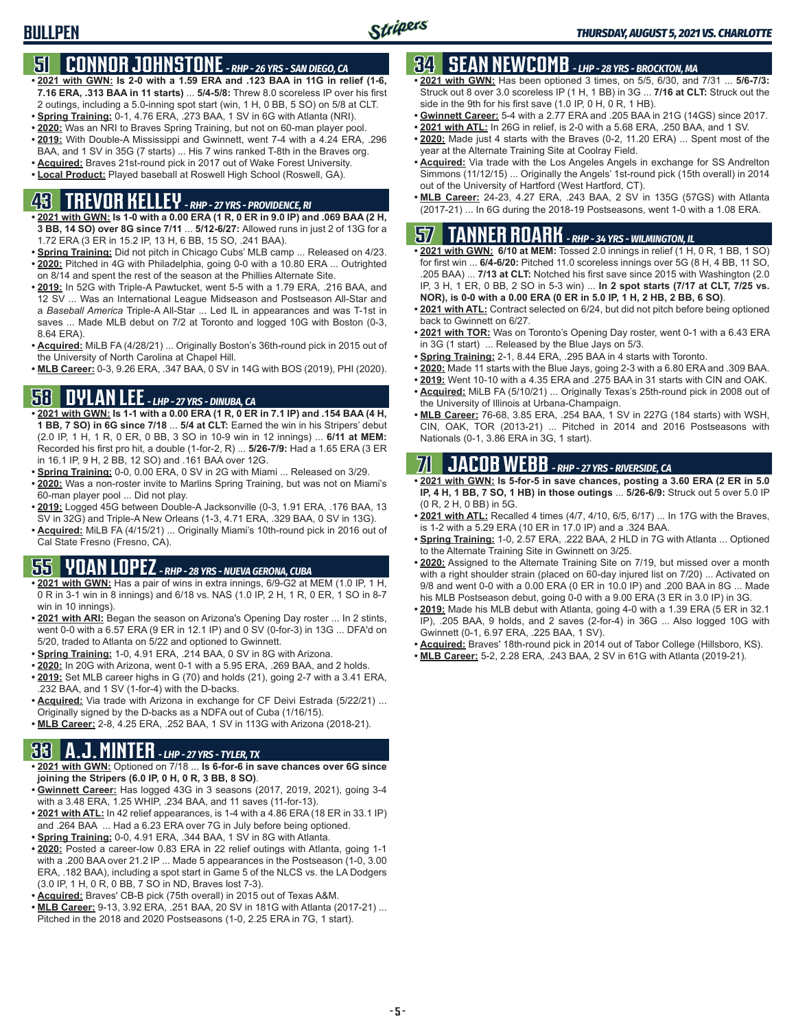## **51 CONNOR JOHNSTONE** *- RHP - 26 YRS - SAN DIEGO, CA*

- **• 2021 with GWN: Is 2-0 with a 1.59 ERA and .123 BAA in 11G in relief (1-6, 7.16 ERA, .313 BAA in 11 starts)** ... **5/4-5/8:** Threw 8.0 scoreless IP over his first 2 outings, including a 5.0-inning spot start (win, 1 H, 0 BB, 5 SO) on 5/8 at CLT.
- **• Spring Training:** 0-1, 4.76 ERA, .273 BAA, 1 SV in 6G with Atlanta (NRI).
- **• 2020:** Was an NRI to Braves Spring Training, but not on 60-man player pool.
- **• 2019:** With Double-A Mississippi and Gwinnett, went 7-4 with a 4.24 ERA, .296 BAA, and 1 SV in 35G (7 starts) ... His 7 wins ranked T-8th in the Braves org.
- **• Acquired:** Braves 21st-round pick in 2017 out of Wake Forest University.
- **• Local Product:** Played baseball at Roswell High School (Roswell, GA).

## **43 TREVOR KELLEY** *- RHP - 27 YRS - PROVIDENCE, RI*

- **• 2021 with GWN: Is 1-0 with a 0.00 ERA (1 R, 0 ER in 9.0 IP) and .069 BAA (2 H, 3 BB, 14 SO) over 8G since 7/11** ... **5/12-6/27:** Allowed runs in just 2 of 13G for a 1.72 ERA (3 ER in 15.2 IP, 13 H, 6 BB, 15 SO, .241 BAA).
- **• Spring Training:** Did not pitch in Chicago Cubs' MLB camp ... Released on 4/23. **• 2020:** Pitched in 4G with Philadelphia, going 0-0 with a 10.80 ERA ... Outrighted on 8/14 and spent the rest of the season at the Phillies Alternate Site.
- **• 2019:** In 52G with Triple-A Pawtucket, went 5-5 with a 1.79 ERA, .216 BAA, and 12 SV ... Was an International League Midseason and Postseason All-Star and a *Baseball America* Triple-A All-Star ... Led IL in appearances and was T-1st in saves ... Made MLB debut on 7/2 at Toronto and logged 10G with Boston (0-3, 8.64 ERA).
- **• Acquired:** MiLB FA (4/28/21) ... Originally Boston's 36th-round pick in 2015 out of the University of North Carolina at Chapel Hill.
- **• MLB Career:** 0-3, 9.26 ERA, .347 BAA, 0 SV in 14G with BOS (2019), PHI (2020).

## **58 DYLAN LEE** *- LHP - 27 YRS - DINUBA, CA*

- **• 2021 with GWN: Is 1-1 with a 0.00 ERA (1 R, 0 ER in 7.1 IP) and .154 BAA (4 H, 1 BB, 7 SO) in 6G since 7/18** ... **5/4 at CLT:** Earned the win in his Stripers' debut (2.0 IP, 1 H, 1 R, 0 ER, 0 BB, 3 SO in 10-9 win in 12 innings) ... **6/11 at MEM:** Recorded his first pro hit, a double (1-for-2, R) ... **5/26-7/9:** Had a 1.65 ERA (3 ER in 16.1 IP, 9 H, 2 BB, 12 SO) and .161 BAA over 12G.
- **• Spring Training:** 0-0, 0.00 ERA, 0 SV in 2G with Miami ... Released on 3/29.
- **• 2020:** Was a non-roster invite to Marlins Spring Training, but was not on Miami's 60-man player pool ... Did not play.
- **• 2019:** Logged 45G between Double-A Jacksonville (0-3, 1.91 ERA, .176 BAA, 13 SV in 32G) and Triple-A New Orleans (1-3, 4.71 ERA, .329 BAA, 0 SV in 13G).
- **• Acquired:** MiLB FA (4/15/21) ... Originally Miami's 10th-round pick in 2016 out of Cal State Fresno (Fresno, CA).

## **55 YOAN LOPEZ** *- RHP - 28 YRS - NUEVA GERONA, CUBA*

- **• 2021 with GWN:** Has a pair of wins in extra innings, 6/9-G2 at MEM (1.0 IP, 1 H, 0 R in 3-1 win in 8 innings) and 6/18 vs. NAS (1.0 IP, 2 H, 1 R, 0 ER, 1 SO in 8-7 win in 10 innings).
- **• 2021 with ARI:** Began the season on Arizona's Opening Day roster ... In 2 stints, went 0-0 with a 6.57 ERA (9 ER in 12.1 IP) and 0 SV (0-for-3) in 13G ... DFA'd on 5/20, traded to Atlanta on 5/22 and optioned to Gwinnett.
- **• Spring Training:** 1-0, 4.91 ERA, .214 BAA, 0 SV in 8G with Arizona.
- **• 2020:** In 20G with Arizona, went 0-1 with a 5.95 ERA, .269 BAA, and 2 holds.
- **• 2019:** Set MLB career highs in G (70) and holds (21), going 2-7 with a 3.41 ERA, .232 BAA, and 1 SV (1-for-4) with the D-backs.
- **• Acquired:** Via trade with Arizona in exchange for CF Deivi Estrada (5/22/21) ... Originally signed by the D-backs as a NDFA out of Cuba (1/16/15).
- **• MLB Career:** 2-8, 4.25 ERA, .252 BAA, 1 SV in 113G with Arizona (2018-21).

## **33 A.J. MINTER** *- LHP - 27 YRS - TYLER, TX*

- **• 2021 with GWN:** Optioned on 7/18 ... **Is 6-for-6 in save chances over 6G since joining the Stripers (6.0 IP, 0 H, 0 R, 3 BB, 8 SO)**.
- **• Gwinnett Career:** Has logged 43G in 3 seasons (2017, 2019, 2021), going 3-4 with a 3.48 ERA, 1.25 WHIP, .234 BAA, and 11 saves (11-for-13).
- **• 2021 with ATL:** In 42 relief appearances, is 1-4 with a 4.86 ERA (18 ER in 33.1 IP) and .264 BAA ... Had a 6.23 ERA over 7G in July before being optioned.
- **• Spring Training:** 0-0, 4.91 ERA, .344 BAA, 1 SV in 8G with Atlanta.
- **• 2020:** Posted a career-low 0.83 ERA in 22 relief outings with Atlanta, going 1-1 with a .200 BAA over 21.2 IP ... Made 5 appearances in the Postseason (1-0, 3.00 ERA, .182 BAA), including a spot start in Game 5 of the NLCS vs. the LA Dodgers (3.0 IP, 1 H, 0 R, 0 BB, 7 SO in ND, Braves lost 7-3).
- **• Acquired:** Braves' CB-B pick (75th overall) in 2015 out of Texas A&M.
- **• MLB Career:** 9-13, 3.92 ERA, .251 BAA, 20 SV in 181G with Atlanta (2017-21) ... Pitched in the 2018 and 2020 Postseasons (1-0, 2.25 ERA in 7G, 1 start).

## **34 SEAN NEWCOMB** *- LHP - 28 YRS - BROCKTON, MA*

- **• 2021 with GWN:** Has been optioned 3 times, on 5/5, 6/30, and 7/31 ... **5/6-7/3:** Struck out 8 over 3.0 scoreless IP (1 H, 1 BB) in 3G ... **7/16 at CLT:** Struck out the side in the 9th for his first save (1.0 IP, 0 H, 0 R, 1 HB).
- **• Gwinnett Career:** 5-4 with a 2.77 ERA and .205 BAA in 21G (14GS) since 2017.
- **• 2021 with ATL:** In 26G in relief, is 2-0 with a 5.68 ERA, .250 BAA, and 1 SV.
- **• 2020:** Made just 4 starts with the Braves (0-2, 11.20 ERA) ... Spent most of the year at the Alternate Training Site at Coolray Field.
- **• Acquired:** Via trade with the Los Angeles Angels in exchange for SS Andrelton Simmons (11/12/15) ... Originally the Angels' 1st-round pick (15th overall) in 2014 out of the University of Hartford (West Hartford, CT).
- **• MLB Career:** 24-23, 4.27 ERA, .243 BAA, 2 SV in 135G (57GS) with Atlanta (2017-21) ... In 6G during the 2018-19 Postseasons, went 1-0 with a 1.08 ERA.

## **57 TANNER ROARK** *- RHP - 34 YRS - WILMINGTON, IL*

- **• 2021 with GWN: 6/10 at MEM:** Tossed 2.0 innings in relief (1 H, 0 R, 1 BB, 1 SO) for first win ... **6/4-6/20:** Pitched 11.0 scoreless innings over 5G (8 H, 4 BB, 11 SO, .205 BAA) ... **7/13 at CLT:** Notched his first save since 2015 with Washington (2.0 IP, 3 H, 1 ER, 0 BB, 2 SO in 5-3 win) ... **In 2 spot starts (7/17 at CLT, 7/25 vs. NOR), is 0-0 with a 0.00 ERA (0 ER in 5.0 IP, 1 H, 2 HB, 2 BB, 6 SO)**.
- **• 2021 with ATL:** Contract selected on 6/24, but did not pitch before being optioned back to Gwinnett on 6/27.
- **• 2021 with TOR:** Was on Toronto's Opening Day roster, went 0-1 with a 6.43 ERA in 3G (1 start) ... Released by the Blue Jays on 5/3.
- **• Spring Training:** 2-1, 8.44 ERA, .295 BAA in 4 starts with Toronto.
- **• 2020:** Made 11 starts with the Blue Jays, going 2-3 with a 6.80 ERA and .309 BAA.
- **• 2019:** Went 10-10 with a 4.35 ERA and .275 BAA in 31 starts with CIN and OAK.
- **• Acquired:** MiLB FA (5/10/21) ... Originally Texas's 25th-round pick in 2008 out of the University of Illinois at Urbana-Champaign.
- **• MLB Career:** 76-68, 3.85 ERA, .254 BAA, 1 SV in 227G (184 starts) with WSH, CIN, OAK, TOR (2013-21) ... Pitched in 2014 and 2016 Postseasons with Nationals (0-1, 3.86 ERA in 3G, 1 start).

## **71 JACOB WEBB** *- RHP - 27 YRS - RIVERSIDE, CA*

- **• 2021 with GWN: Is 5-for-5 in save chances, posting a 3.60 ERA (2 ER in 5.0 IP, 4 H, 1 BB, 7 SO, 1 HB) in those outings** ... **5/26-6/9:** Struck out 5 over 5.0 IP (0 R, 2 H, 0 BB) in 5G.
- **• 2021 with ATL:** Recalled 4 times (4/7, 4/10, 6/5, 6/17) ... In 17G with the Braves, is 1-2 with a 5.29 ERA (10 ER in 17.0 IP) and a .324 BAA.
- **• Spring Training:** 1-0, 2.57 ERA, .222 BAA, 2 HLD in 7G with Atlanta ... Optioned to the Alternate Training Site in Gwinnett on 3/25.
- **• 2020:** Assigned to the Alternate Training Site on 7/19, but missed over a month with a right shoulder strain (placed on 60-day injured list on 7/20) ... Activated on 9/8 and went 0-0 with a 0.00 ERA (0 ER in 10.0 IP) and .200 BAA in 8G ... Made his MLB Postseason debut, going 0-0 with a 9.00 ERA (3 ER in 3.0 IP) in 3G.
- **• 2019:** Made his MLB debut with Atlanta, going 4-0 with a 1.39 ERA (5 ER in 32.1 IP), .205 BAA, 9 holds, and 2 saves (2-for-4) in 36G ... Also logged 10G with Gwinnett (0-1, 6.97 ERA, .225 BAA, 1 SV).
- **• Acquired:** Braves' 18th-round pick in 2014 out of Tabor College (Hillsboro, KS).
- **• MLB Career:** 5-2, 2.28 ERA, .243 BAA, 2 SV in 61G with Atlanta (2019-21).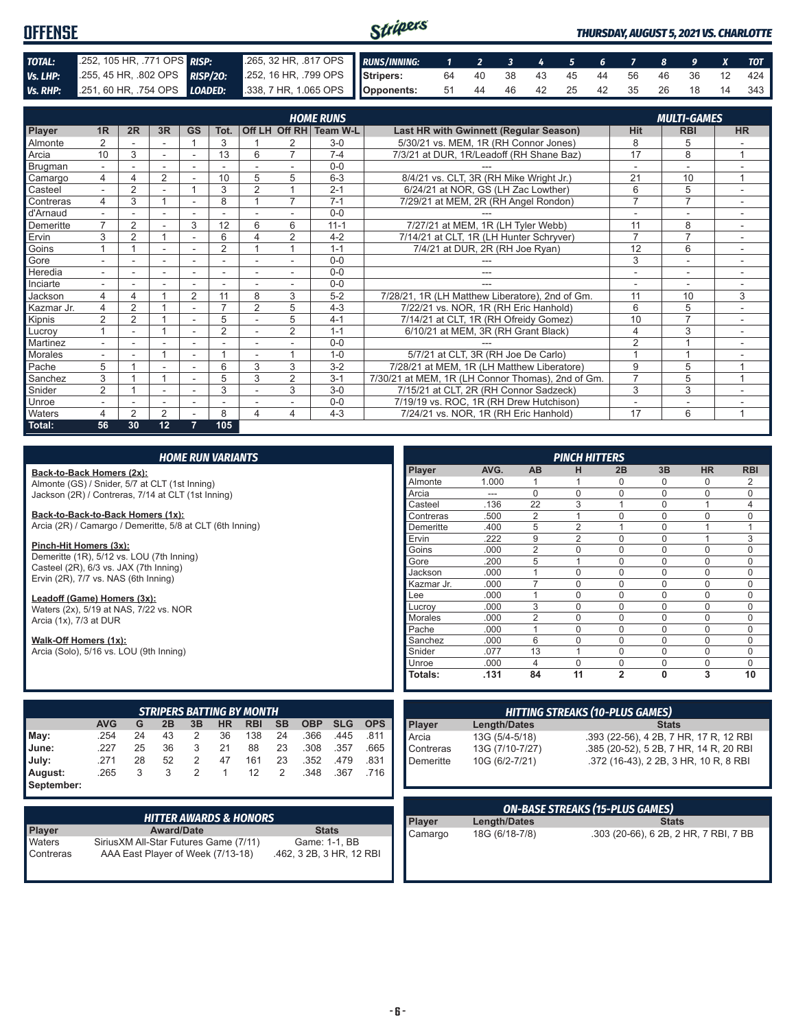| Stripers<br><b>OFFENSE</b> |                                                                                              |  |                                                           |  |  |                               |  | <b>THURSDAY, AUGUST 5, 2021 VS. CHARLOTTE</b> |  |  |  |  |  |  |       |
|----------------------------|----------------------------------------------------------------------------------------------|--|-----------------------------------------------------------|--|--|-------------------------------|--|-----------------------------------------------|--|--|--|--|--|--|-------|
| TOTAL:                     | 252, 105 HR, .771 OPS RISP:                                                                  |  | 265, 32 HR, .817 OPS RUNS/INNING: 1 2 3 4 5 6 7 8 9 X TOT |  |  |                               |  |                                               |  |  |  |  |  |  |       |
| Vs. LHP:                   | 255, 45 HR, 802 OPS RISP/20: 252, 16 HR, 799 OPS Stripers: 64 40 38 43 45 44 56 46 36 12 424 |  |                                                           |  |  |                               |  |                                               |  |  |  |  |  |  |       |
|                            | Vs. RHP: 251, 60 HR, 754 OPS LOADED: 338, 7 HR, 1.065 OPS Opponents:                         |  |                                                           |  |  | 51 44 46 42 25 42 35 26 18 14 |  |                                               |  |  |  |  |  |  | 343 I |

|               |                          |                |    |                |                          |                |                | <b>HOME RUNS</b>       |                                                   |                | <b>MULTI-GAMES</b>       |                |
|---------------|--------------------------|----------------|----|----------------|--------------------------|----------------|----------------|------------------------|---------------------------------------------------|----------------|--------------------------|----------------|
| <b>Player</b> | 1R                       | 2R             | 3R | <b>GS</b>      | Tot.                     |                |                | Off LH Off RH Team W-L | Last HR with Gwinnett (Regular Season)            | <b>Hit</b>     | <b>RBI</b>               | <b>HR</b>      |
| Almonte       | 2                        |                |    |                | 3                        |                | 2              | $3-0$                  | 5/30/21 vs. MEM, 1R (RH Connor Jones)             | 8              | 5                        |                |
| Arcia         | 10                       | 3              | ۰  | ۰              | 13                       | 6              | 7              | $7 - 4$                | 7/3/21 at DUR, 1R/Leadoff (RH Shane Baz)          | 17             | 8                        | 1              |
| Brugman       |                          |                |    |                |                          |                |                | $0 - 0$                |                                                   |                |                          |                |
| Camargo       | 4                        |                | 2  |                | 10                       | 5              | 5              | $6 - 3$                | 8/4/21 vs. CLT, 3R (RH Mike Wright Jr.)           | 21             | 10                       | 1              |
| Casteel       | $\overline{\phantom{a}}$ | $\overline{2}$ |    |                | 3                        | $\overline{2}$ |                | $2 - 1$                | 6/24/21 at NOR, GS (LH Zac Lowther)               | 6              | 5                        | ۰              |
| Contreras     | 4                        | 3              |    |                | 8                        |                | $\overline{ }$ | $7 - 1$                | 7/29/21 at MEM, 2R (RH Angel Rondon)              | $\overline{7}$ | $\overline{ }$           |                |
| d'Arnaud      |                          |                |    |                |                          |                |                | $0 - 0$                |                                                   |                | $\overline{\phantom{a}}$ |                |
| Demeritte     | $\overline{7}$           | $\overline{2}$ |    | 3              | 12                       | 6              | 6              | $11 - 1$               | 7/27/21 at MEM, 1R (LH Tyler Webb)                | 11             | 8                        | ٠              |
| Ervin         | 3                        | $\overline{2}$ |    |                | 6                        | Δ              | 2              | $4 - 2$                | 7/14/21 at CLT, 1R (LH Hunter Schryver)           |                | $\overline{ }$           |                |
| Goins         |                          |                |    |                | $\overline{2}$           |                |                | $1 - 1$                | 7/4/21 at DUR, 2R (RH Joe Ryan)                   |                | 6                        | ٠.             |
| Gore          |                          |                | ۰  | ۰              |                          |                |                | $0 - 0$                |                                                   | 3              | $\overline{\phantom{a}}$ | ٠.             |
| Heredia       |                          |                |    |                |                          |                |                | $0 - 0$                | ---                                               | ٠              | ۰                        |                |
| Inciarte      |                          |                |    |                |                          |                |                | $0 - 0$                |                                                   |                |                          |                |
| Jackson       | 4                        | 4              |    | $\overline{2}$ | 11                       | 8              | 3              | $5 - 2$                | 7/28/21, 1R (LH Matthew Liberatore), 2nd of Gm.   | 11             | 10                       | 3              |
| Kazmar Jr.    | 4                        | $\overline{2}$ |    |                | $\overline{\phantom{a}}$ | $\overline{2}$ | 5              | $4 - 3$                | 7/22/21 vs. NOR, 1R (RH Eric Hanhold)             | 6              | 5                        |                |
| Kipnis        | $\overline{2}$           | 2              |    |                | 5                        |                | 5              | $4 - 1$                | 7/14/21 at CLT, 1R (RH Ofreidy Gomez)             | 10             | $\overline{7}$           |                |
| Lucrov        |                          |                |    | ٠              | $\overline{2}$           |                | $\overline{2}$ | $1 - 1$                | 6/10/21 at MEM, 3R (RH Grant Black)               | 4              | 3                        |                |
| Martinez      |                          |                |    |                |                          |                |                | $0 - 0$                |                                                   | $\overline{2}$ |                          |                |
| Morales       |                          |                |    |                |                          |                |                | $1 - 0$                | 5/7/21 at CLT, 3R (RH Joe De Carlo)               |                |                          |                |
| Pache         | 5                        |                |    |                | 6                        | 3              | 3              | $3 - 2$                | 7/28/21 at MEM, 1R (LH Matthew Liberatore)        | 9              | 5                        | $\overline{ }$ |
| Sanchez       | 3                        |                |    |                | 5                        | 3              | 2              | $3 - 1$                | 7/30/21 at MEM, 1R (LH Connor Thomas), 2nd of Gm. | $\overline{7}$ | 5                        | $\overline{A}$ |
| Snider        | $\overline{2}$           |                | ۰  |                | 3                        |                | 3              | $3-0$                  | 7/15/21 at CLT, 2R (RH Connor Sadzeck)            | 3              | 3                        |                |
| Unroe         |                          |                |    |                |                          |                |                | $0 - 0$                | 7/19/19 vs. ROC, 1R (RH Drew Hutchison)           |                |                          |                |
| Waters        | 4                        | 2              | 2  |                | 8                        | $\Delta$       | 4              | $4 - 3$                | 7/24/21 vs. NOR, 1R (RH Eric Hanhold)             | 17             | 6                        | $\overline{A}$ |
| Total:        | 56                       | 30             | 12 | 7              | 105                      |                |                |                        |                                                   |                |                          |                |

|      |                                                           |    |                                  |    | <b>HOME RUN VARIANTS</b> |            |           |            |            |            |                |                |                | <b>PINCH HITTERS</b>                   |                |                                        |           |            |
|------|-----------------------------------------------------------|----|----------------------------------|----|--------------------------|------------|-----------|------------|------------|------------|----------------|----------------|----------------|----------------------------------------|----------------|----------------------------------------|-----------|------------|
|      | Back-to-Back Homers (2x):                                 |    |                                  |    |                          |            |           |            |            |            | Player         | AVG.           | <b>AB</b>      | н                                      | 2B             | 3B                                     | <b>HR</b> | <b>RBI</b> |
|      | Almonte (GS) / Snider, 5/7 at CLT (1st Inning)            |    |                                  |    |                          |            |           |            |            |            | Almonte        | 1.000          |                |                                        | 0              | $\Omega$                               | $\Omega$  |            |
|      | Jackson (2R) / Contreras, 7/14 at CLT (1st Inning)        |    |                                  |    |                          |            |           |            |            |            | Arcia          | $---$          | $\Omega$       | $\Omega$                               | 0              | 0                                      | $\Omega$  | 0          |
|      |                                                           |    |                                  |    |                          |            |           |            |            |            | Casteel        | .136           | 22             | 3                                      |                | $\Omega$                               |           | 4          |
|      | Back-to-Back-to-Back Homers (1x):                         |    |                                  |    |                          |            |           |            |            |            | Contreras      | .500           | $\overline{2}$ |                                        | $\Omega$       | $\mathbf 0$                            | $\Omega$  | 0          |
|      | Arcia (2R) / Camargo / Demeritte, 5/8 at CLT (6th Inning) |    |                                  |    |                          |            |           | Demeritte  | .400       | 5          | 2              |                | 0              |                                        |                |                                        |           |            |
|      |                                                           |    |                                  |    |                          |            |           |            |            |            | Ervin          | .222           | 9              | $\overline{2}$                         | $\Omega$       | $\mathbf 0$                            |           | 3          |
|      | Pinch-Hit Homers (3x):                                    |    |                                  |    |                          |            |           |            |            |            | Goins          | .000           | $\overline{2}$ | $\Omega$                               | $\Omega$       | $\mathbf 0$                            | $\Omega$  | 0          |
|      | Demeritte (1R), 5/12 vs. LOU (7th Inning)                 |    |                                  |    |                          |            |           |            |            |            | Gore           | .200           | 5              |                                        | $\Omega$       | $\mathbf 0$                            | $\Omega$  | 0          |
|      | Casteel (2R), 6/3 vs. JAX (7th Inning)                    |    |                                  |    |                          |            |           |            |            |            | Jackson        | .000           |                | $\Omega$                               | 0              | $\mathbf 0$                            | $\Omega$  | 0          |
|      | Ervin (2R), 7/7 vs. NAS (6th Inning)                      |    |                                  |    |                          |            |           |            |            |            | Kazmar Jr.     | .000           |                | $\Omega$                               | 0              | $\mathbf 0$                            | $\Omega$  | 0          |
|      | Leadoff (Game) Homers (3x):                               |    |                                  |    |                          |            |           |            |            |            | Lee            | .000           |                | $\Omega$                               | $\Omega$       | $\mathbf 0$                            | $\Omega$  | 0          |
|      | Waters (2x), 5/19 at NAS, 7/22 vs. NOR                    |    |                                  |    |                          |            |           |            |            |            | Lucrov         | .000           | 3              | $\Omega$                               | $\Omega$       | $\Omega$                               | $\Omega$  | 0          |
|      | Arcia (1x), 7/3 at DUR                                    |    |                                  |    |                          |            |           |            |            |            | <b>Morales</b> | .000           | $\overline{2}$ | $\Omega$                               | $\Omega$       | $\mathbf 0$                            | $\Omega$  | 0          |
|      |                                                           |    |                                  |    |                          |            |           |            |            |            | Pache          | .000           |                | $\Omega$                               | $\Omega$       | $\mathbf 0$                            | $\Omega$  | 0          |
|      | Walk-Off Homers (1x):                                     |    |                                  |    |                          |            |           |            |            |            | Sanchez        | .000           | 6              | $\Omega$                               | $\Omega$       | $\Omega$                               | $\Omega$  | 0          |
|      | Arcia (Solo), 5/16 vs. LOU (9th Inning)                   |    |                                  |    |                          |            |           |            |            |            | Snider         | .077           | 13             |                                        | 0              | $\mathbf 0$                            | $\Omega$  | 0          |
|      |                                                           |    |                                  |    |                          |            |           |            |            |            | Unroe          | .000           | 4              | $\Omega$                               | $\Omega$       | $\Omega$                               | $\Omega$  | $\Omega$   |
|      |                                                           |    |                                  |    |                          |            |           |            |            |            | Totals:        | .131           | 84             | 11                                     | $\overline{2}$ | 0                                      | 3         | 10         |
|      |                                                           |    |                                  |    |                          |            |           |            |            |            |                |                |                |                                        |                |                                        |           |            |
|      |                                                           |    | <b>STRIPERS BATTING BY MONTH</b> |    |                          |            |           |            |            |            |                |                |                | <b>HITTING STREAKS (10-PLUS GAMES)</b> |                |                                        |           |            |
|      | <b>AVG</b>                                                | G  | 2B                               | 3B | <b>HR</b>                | <b>RBI</b> | <b>SB</b> | <b>OBP</b> | <b>SLG</b> | <b>OPS</b> | Player         | Length/Dates   |                |                                        |                | <b>Stats</b>                           |           |            |
| May: | .254                                                      | 24 | 43                               | 2  | 36                       | 138        | 24        | .366       | .445       | .811       | Arcia          | 13G (5/4-5/18) |                |                                        |                | .393 (22-56), 4 2B, 7 HR, 17 R, 12 RBI |           |            |

|                       | <b>AVG</b> | G  | 2B | 3B | <b>HR</b> |     | RBI SB | OBP SLG OPS |      |      |
|-----------------------|------------|----|----|----|-----------|-----|--------|-------------|------|------|
| $\blacksquare$ May:   | .254       | 24 | 43 | 2  | 36        | 138 | 24     | .366        | .445 | .811 |
| June:                 | .227       | 25 | 36 | 3  | 21        | 88  | 23     | .308        | .357 | .665 |
| July:                 | .271       | 28 | 52 | 2  | 47        | 161 | 23     | .352        | .479 | .831 |
| August:<br>September: | .265       | 3  | 3  | 2  | $\sim$ 1  |     | 12 2   | .348        | .367 | .716 |

 $\mathbb{R}$ 

| <b>HITTER AWARDS &amp; HONORS</b> |                                                                             |                                           |  |  |  |  |  |  |  |
|-----------------------------------|-----------------------------------------------------------------------------|-------------------------------------------|--|--|--|--|--|--|--|
| <b>Player</b>                     | <b>Award/Date</b>                                                           | <b>Stats</b>                              |  |  |  |  |  |  |  |
| Waters<br>Contreras               | Sirius XM All-Star Futures Game (7/11)<br>AAA East Player of Week (7/13-18) | Game: 1-1, BB<br>.462, 3 2B, 3 HR, 12 RBI |  |  |  |  |  |  |  |

|           |                     | <b>THE HIND STREAKS (TO FEOS UAMES)</b> |
|-----------|---------------------|-----------------------------------------|
| Player    | <b>Length/Dates</b> | <b>Stats</b>                            |
| Arcia     | 13G (5/4-5/18)      | .393 (22-56), 4 2B, 7 HR, 17 R, 12 RBI  |
| Contreras | 13G (7/10-7/27)     | .385 (20-52), 5 2B, 7 HR, 14 R, 20 RBI  |
| Demeritte | 10G (6/2-7/21)      | .372 (16-43), 2 2B, 3 HR, 10 R, 8 RBI   |
|           |                     |                                         |
|           |                     |                                         |

| <b>ON-BASE STREAKS (15-PLUS GAMES)</b> |                |                                       |  |  |  |  |  |  |  |
|----------------------------------------|----------------|---------------------------------------|--|--|--|--|--|--|--|
| Player                                 | Length/Dates   | <b>Stats</b>                          |  |  |  |  |  |  |  |
| Camargo                                | 18G (6/18-7/8) | .303 (20-66), 6 2B, 2 HR, 7 RBI, 7 BB |  |  |  |  |  |  |  |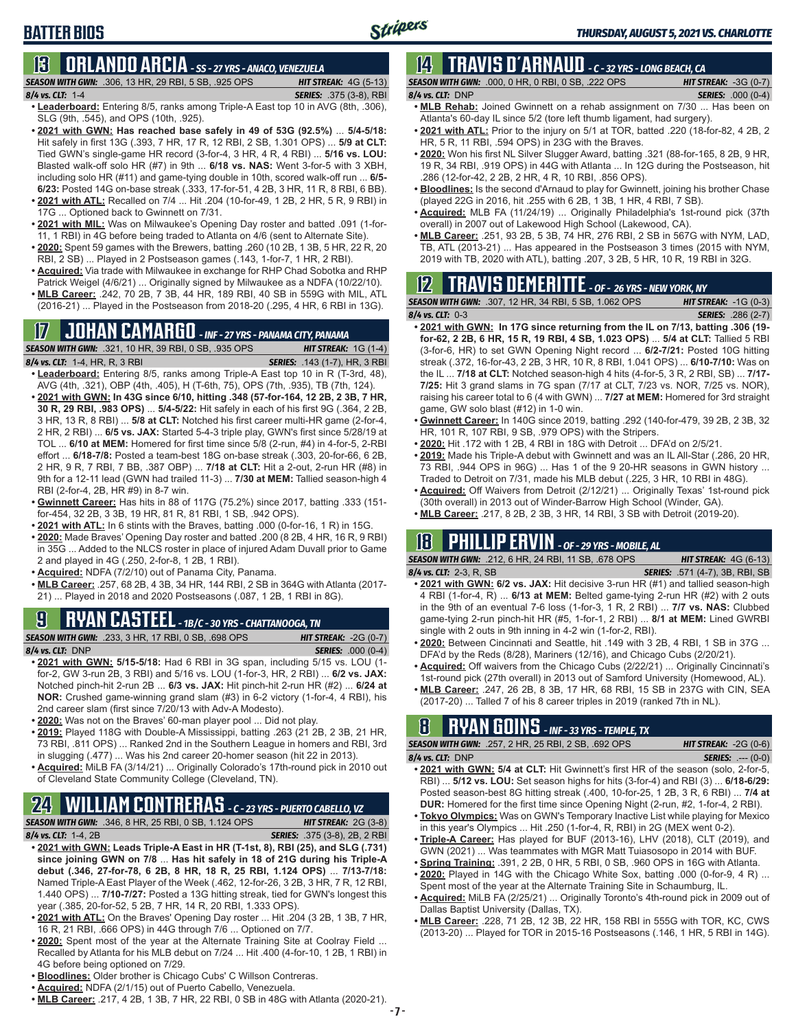## **13 ORLANDO ARCIA** *- SS - 27 YRS - ANACO, VENEZUELA*

*SEASON WITH GWN:*.306, 13 HR, 29 RBI, 5 SB, .925 OPS *HIT STREAK:* 4G (5-13)

*8/4 vs. CLT:*1-4 *SERIES:* .375 (3-8), RBI **• Leaderboard:** Entering 8/5, ranks among Triple-A East top 10 in AVG (8th, .306), SLG (9th, .545), and OPS (10th, .925).

- **• 2021 with GWN: Has reached base safely in 49 of 53G (92.5%)** ... **5/4-5/18:**  Hit safely in first 13G (.393, 7 HR, 17 R, 12 RBI, 2 SB, 1.301 OPS) ... **5/9 at CLT:** Tied GWN's single-game HR record (3-for-4, 3 HR, 4 R, 4 RBI) ... **5/16 vs. LOU:** Blasted walk-off solo HR (#7) in 9th ... **6/18 vs. NAS:** Went 3-for-5 with 3 XBH, including solo HR (#11) and game-tying double in 10th, scored walk-off run ... **6/5- 6/23:** Posted 14G on-base streak (.333, 17-for-51, 4 2B, 3 HR, 11 R, 8 RBI, 6 BB). **• 2021 with ATL:** Recalled on 7/4 ... Hit .204 (10-for-49, 1 2B, 2 HR, 5 R, 9 RBI) in
- 17G ... Optioned back to Gwinnett on 7/31. **• 2021 with MIL:** Was on Milwaukee's Opening Day roster and batted .091 (1-for-
- 11, 1 RBI) in 4G before being traded to Atlanta on 4/6 (sent to Alternate Site).
- **• 2020:** Spent 59 games with the Brewers, batting .260 (10 2B, 1 3B, 5 HR, 22 R, 20 RBI, 2 SB) ... Played in 2 Postseason games (.143, 1-for-7, 1 HR, 2 RBI).
- **• Acquired:** Via trade with Milwaukee in exchange for RHP Chad Sobotka and RHP Patrick Weigel (4/6/21) ... Originally signed by Milwaukee as a NDFA (10/22/10).
- **• MLB Career:** .242, 70 2B, 7 3B, 44 HR, 189 RBI, 40 SB in 559G with MIL, ATL (2016-21) ... Played in the Postseason from 2018-20 (.295, 4 HR, 6 RBI in 13G).

## **17 JOHAN CAMARGO** *- INF - 27 YRS - PANAMA CITY, PANAMA*

| <b>SEASON WITH GWN:</b> .321, 10 HR, 39 RBI, 0 SB, .935 OPS | <b>HIT STREAK:</b> $1G(1-4)$         |
|-------------------------------------------------------------|--------------------------------------|
| 8/4 vs. CLT: 1-4, HR, R, 3 RBI                              | <b>SERIES:</b> .143 (1-7), HR, 3 RBI |
| $\blacksquare$                                              |                                      |

**• Leaderboard:** Entering 8/5, ranks among Triple-A East top 10 in R (T-3rd, 48), AVG (4th, .321), OBP (4th, .405), H (T-6th, 75), OPS (7th, .935), TB (7th, 124).

- **• 2021 with GWN: In 43G since 6/10, hitting .348 (57-for-164, 12 2B, 2 3B, 7 HR, 30 R, 29 RBI, .983 OPS)** ... **5/4-5/22:** Hit safely in each of his first 9G (.364, 2 2B, 3 HR, 13 R, 8 RBI) ... **5/8 at CLT:** Notched his first career multi-HR game (2-for-4, 2 HR, 2 RBI) ... **6/5 vs. JAX:** Started 5-4-3 triple play, GWN's first since 5/28/19 at TOL ... **6/10 at MEM:** Homered for first time since 5/8 (2-run, #4) in 4-for-5, 2-RBI effort ... **6/18-7/8:** Posted a team-best 18G on-base streak (.303, 20-for-66, 6 2B, 2 HR, 9 R, 7 RBI, 7 BB, .387 OBP) ... **7/18 at CLT:** Hit a 2-out, 2-run HR (#8) in 9th for a 12-11 lead (GWN had trailed 11-3) ... **7/30 at MEM:** Tallied season-high 4 RBI (2-for-4, 2B, HR #9) in 8-7 win.
- **• Gwinnett Career:** Has hits in 88 of 117G (75.2%) since 2017, batting .333 (151 for-454, 32 2B, 3 3B, 19 HR, 81 R, 81 RBI, 1 SB, .942 OPS).
- **• 2021 with ATL:** In 6 stints with the Braves, batting .000 (0-for-16, 1 R) in 15G.
- **• 2020:** Made Braves' Opening Day roster and batted .200 (8 2B, 4 HR, 16 R, 9 RBI) in 35G ... Added to the NLCS roster in place of injured Adam Duvall prior to Game 2 and played in 4G (.250, 2-for-8, 1 2B, 1 RBI).
- **• Acquired:** NDFA (7/2/10) out of Panama City, Panama.
- **• MLB Career:** .257, 68 2B, 4 3B, 34 HR, 144 RBI, 2 SB in 364G with Atlanta (2017- 21) ... Played in 2018 and 2020 Postseasons (.087, 1 2B, 1 RBI in 8G).

## **9 RYAN CASTEEL** *- 1B/C - 30 YRS - CHATTANOOGA, TN*

*SEASON WITH GWN:*.233, 3 HR, 17 RBI, 0 SB, .698 OPS *HIT STREAK:* -2G (0-7) *8/4 vs. CLT:*DNP *SERIES:* .000 (0-4)

- **• 2021 with GWN: 5/15-5/18:** Had 6 RBI in 3G span, including 5/15 vs. LOU (1 for-2, GW 3-run 2B, 3 RBI) and 5/16 vs. LOU (1-for-3, HR, 2 RBI) ... **6/2 vs. JAX:** Notched pinch-hit 2-run 2B ... **6/3 vs. JAX:** Hit pinch-hit 2-run HR (#2) ... **6/24 at NOR:** Crushed game-winning grand slam (#3) in 6-2 victory (1-for-4, 4 RBI), his 2nd career slam (first since 7/20/13 with Adv-A Modesto).
- **• 2020:** Was not on the Braves' 60-man player pool ... Did not play.
- **• 2019:** Played 118G with Double-A Mississippi, batting .263 (21 2B, 2 3B, 21 HR, 73 RBI, .811 OPS) ... Ranked 2nd in the Southern League in homers and RBI, 3rd in slugging (.477) ... Was his 2nd career 20-homer season (hit 22 in 2013).
- **• Acquired:** MiLB FA (3/14/21) ... Originally Colorado's 17th-round pick in 2010 out of Cleveland State Community College (Cleveland, TN).

## **24 WILLIAM CONTRERAS** *- C - 23 YRS - PUERTO CABELLO, VZ*

- *SEASON WITH GWN:*.346, 8 HR, 25 RBI, 0 SB, 1.124 OPS *HIT STREAK:* 2G (3-8) *8/4 vs. CLT:* 1-4, 2B *SERIES:* .375 (3-8), 2B, 2 RBI
- **• 2021 with GWN: Leads Triple-A East in HR (T-1st, 8), RBI (25), and SLG (.731) since joining GWN on 7/8** ... **Has hit safely in 18 of 21G during his Triple-A debut (.346, 27-for-78, 6 2B, 8 HR, 18 R, 25 RBI, 1.124 OPS)** ... **7/13-7/18:** Named Triple-A East Player of the Week (.462, 12-for-26, 3 2B, 3 HR, 7 R, 12 RBI, 1.440 OPS) ... **7/10-7/27:** Posted a 13G hitting streak, tied for GWN's longest this year (.385, 20-for-52, 5 2B, 7 HR, 14 R, 20 RBI, 1.333 OPS).
- **• 2021 with ATL:** On the Braves' Opening Day roster ... Hit .204 (3 2B, 1 3B, 7 HR, 16 R, 21 RBI, .666 OPS) in 44G through 7/6 ... Optioned on 7/7.
- **• 2020:** Spent most of the year at the Alternate Training Site at Coolray Field ... Recalled by Atlanta for his MLB debut on 7/24 ... Hit .400 (4-for-10, 1 2B, 1 RBI) in 4G before being optioned on 7/29.
- **• Bloodlines:** Older brother is Chicago Cubs' C Willson Contreras.
- **• Acquired:** NDFA (2/1/15) out of Puerto Cabello, Venezuela.
- **• MLB Career:** .217, 4 2B, 1 3B, 7 HR, 22 RBI, 0 SB in 48G with Atlanta (2020-21).

### **14 TRAVIS d'ARNAUD** *- C - 32 YRS - LONG BEACH, CA*

*SEASON WITH GWN:*.000, 0 HR, 0 RBI, 0 SB, .222 OPS *HIT STREAK:* -3G (0-7) *8/4 vs. CLT:*DNP *SERIES:* .000 (0-4)

- **• MLB Rehab:** Joined Gwinnett on a rehab assignment on 7/30 ... Has been on Atlanta's 60-day IL since 5/2 (tore left thumb ligament, had surgery).
- **• 2021 with ATL:** Prior to the injury on 5/1 at TOR, batted .220 (18-for-82, 4 2B, 2 HR, 5 R, 11 RBI, .594 OPS) in 23G with the Braves.
- **• 2020:** Won his first NL Silver Slugger Award, batting .321 (88-for-165, 8 2B, 9 HR, 19 R, 34 RBI, .919 OPS) in 44G with Atlanta ... In 12G during the Postseason, hit .286 (12-for-42, 2 2B, 2 HR, 4 R, 10 RBI, .856 OPS).
- **• Bloodlines:** Is the second d'Arnaud to play for Gwinnett, joining his brother Chase (played 22G in 2016, hit .255 with 6 2B, 1 3B, 1 HR, 4 RBI, 7 SB).
- **• Acquired:** MLB FA (11/24/19) ... Originally Philadelphia's 1st-round pick (37th overall) in 2007 out of Lakewood High School (Lakewood, CA).
- **• MLB Career:** .251, 93 2B, 5 3B, 74 HR, 276 RBI, 2 SB in 567G with NYM, LAD, TB, ATL (2013-21) ... Has appeared in the Postseason 3 times (2015 with NYM, 2019 with TB, 2020 with ATL), batting .207, 3 2B, 5 HR, 10 R, 19 RBI in 32G.

### **12 TRAVIS DEMERITTE** *- OF - 26 YRS - NEW YORK, NY*

*SEASON WITH GWN:*.307, 12 HR, 34 RBI, 5 SB, 1.062 OPS *HIT STREAK:* -1G (0-3) *8/4 vs. CLT:*0-3 *SERIES:* .286 (2-7)

- **• 2021 with GWN: In 17G since returning from the IL on 7/13, batting .306 (19 for-62, 2 2B, 6 HR, 15 R, 19 RBI, 4 SB, 1.023 OPS)** ... **5/4 at CLT:** Tallied 5 RBI (3-for-6, HR) to set GWN Opening Night record ... **6/2-7/21:** Posted 10G hitting streak (.372, 16-for-43, 2 2B, 3 HR, 10 R, 8 RBI, 1.041 OPS) ... **6/10-7/10:** Was on the IL ... **7/18 at CLT:** Notched season-high 4 hits (4-for-5, 3 R, 2 RBI, SB) ... **7/17- 7/25:** Hit 3 grand slams in 7G span (7/17 at CLT, 7/23 vs. NOR, 7/25 vs. NOR), raising his career total to 6 (4 with GWN) ... **7/27 at MEM:** Homered for 3rd straight game, GW solo blast (#12) in 1-0 win.
- **• Gwinnett Career:** In 140G since 2019, batting .292 (140-for-479, 39 2B, 2 3B, 32 HR, 101 R, 107 RBI, 9 SB, .979 OPS) with the Stripers.
- **• 2020:** Hit .172 with 1 2B, 4 RBI in 18G with Detroit ... DFA'd on 2/5/21.
- **• 2019:** Made his Triple-A debut with Gwinnett and was an IL All-Star (.286, 20 HR, 73 RBI, .944 OPS in 96G) ... Has 1 of the 9 20-HR seasons in GWN history ... Traded to Detroit on 7/31, made his MLB debut (.225, 3 HR, 10 RBI in 48G).
- **• Acquired:** Off Waivers from Detroit (2/12/21) ... Originally Texas' 1st-round pick (30th overall) in 2013 out of Winder-Barrow High School (Winder, GA).
- **• MLB Career:** .217, 8 2B, 2 3B, 3 HR, 14 RBI, 3 SB with Detroit (2019-20).

### **18 PHILLIP ERVIN** *- OF - 29 YRS - MOBILE, AL*

*SEASON WITH GWN:*.212, 6 HR, 24 RBI, 11 SB, .678 OPS *HIT STREAK:* 4G (6-13) *8/4 vs. CLT:*2-3, R, SB *SERIES:* .571 (4-7), 3B, RBI, SB

- **• 2021 with GWN: 6/2 vs. JAX:** Hit decisive 3-run HR (#1) and tallied season-high 4 RBI (1-for-4, R) ... **6/13 at MEM:** Belted game-tying 2-run HR (#2) with 2 outs in the 9th of an eventual 7-6 loss (1-for-3, 1 R, 2 RBI) ... **7/7 vs. NAS:** Clubbed game-tying 2-run pinch-hit HR (#5, 1-for-1, 2 RBI) ... **8/1 at MEM:** Lined GWRBI single with 2 outs in 9th inning in 4-2 win (1-for-2, RBI).
- **• 2020:** Between Cincinnati and Seattle, hit .149 with 3 2B, 4 RBI, 1 SB in 37G ... DFA'd by the Reds (8/28), Mariners (12/16), and Chicago Cubs (2/20/21).
- **• Acquired:** Off waivers from the Chicago Cubs (2/22/21) ... Originally Cincinnati's 1st-round pick (27th overall) in 2013 out of Samford University (Homewood, AL).
- **• MLB Career:** .247, 26 2B, 8 3B, 17 HR, 68 RBI, 15 SB in 237G with CIN, SEA (2017-20) ... Talled 7 of his 8 career triples in 2019 (ranked 7th in NL).

## **8 RYAN GOINS** *- INF - 33 YRS - TEMPLE, TX*

*SEASON WITH GWN:*.257, 2 HR, 25 RBI, 2 SB, .692 OPS *HIT STREAK:* -2G (0-6) *8/4 vs. CLT:*DNP *SERIES:* .--- (0-0)

- **• 2021 with GWN: 5/4 at CLT:** Hit Gwinnett's first HR of the season (solo, 2-for-5, RBI) ... **5/12 vs. LOU:** Set season highs for hits (3-for-4) and RBI (3) ... **6/18-6/29:** Posted season-best 8G hitting streak (.400, 10-for-25, 1 2B, 3 R, 6 RBI) ... **7/4 at DUR:** Homered for the first time since Opening Night (2-run, #2, 1-for-4, 2 RBI).
- **• Tokyo Olympics:** Was on GWN's Temporary Inactive List while playing for Mexico in this year's Olympics ... Hit .250 (1-for-4, R, RBI) in 2G (MEX went 0-2).
- **• Triple-A Career:** Has played for BUF (2013-16), LHV (2018), CLT (2019), and GWN (2021) ... Was teammates with MGR Matt Tuiasosopo in 2014 with BUF.
- **• Spring Training:** .391, 2 2B, 0 HR, 5 RBI, 0 SB, .960 OPS in 16G with Atlanta.
- **• 2020:** Played in 14G with the Chicago White Sox, batting .000 (0-for-9, 4 R) ... Spent most of the year at the Alternate Training Site in Schaumburg, IL.
- **• Acquired:** MiLB FA (2/25/21) ... Originally Toronto's 4th-round pick in 2009 out of Dallas Baptist University (Dallas, TX).
- **• MLB Career:** .228, 71 2B, 12 3B, 22 HR, 158 RBI in 555G with TOR, KC, CWS (2013-20) ... Played for TOR in 2015-16 Postseasons (.146, 1 HR, 5 RBI in 14G).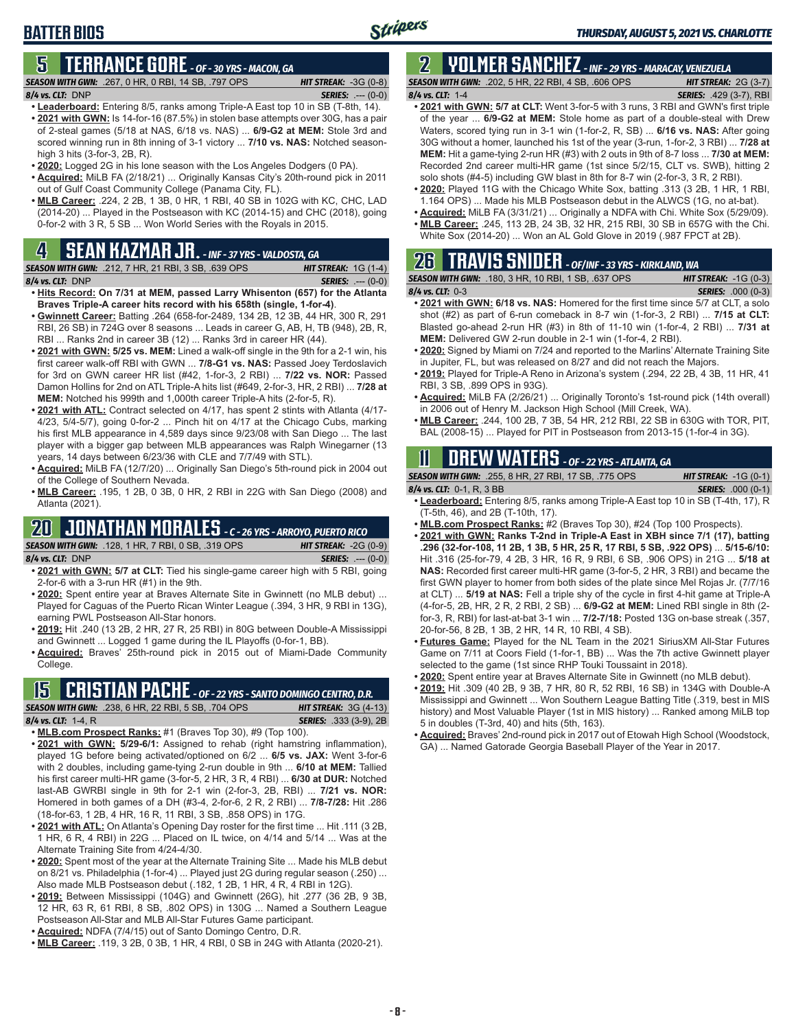## **5 TERRANCE GORE** *- OF - 30 YRS - MACON, GA*

*SEASON WITH GWN:*.267, 0 HR, 0 RBI, 14 SB, .797 OPS *HIT STREAK:* -3G (0-8) *8/4 vs. CLT:*DNP *SERIES:* .--- (0-0)

Stripers

- **• Leaderboard:** Entering 8/5, ranks among Triple-A East top 10 in SB (T-8th, 14). **• 2021 with GWN:** Is 14-for-16 (87.5%) in stolen base attempts over 30G, has a pair of 2-steal games (5/18 at NAS, 6/18 vs. NAS) ... **6/9-G2 at MEM:** Stole 3rd and scored winning run in 8th inning of 3-1 victory ... **7/10 vs. NAS:** Notched seasonhigh 3 hits (3-for-3, 2B, R).
- **• 2020:** Logged 2G in his lone season with the Los Angeles Dodgers (0 PA).
- **• Acquired:** MiLB FA (2/18/21) ... Originally Kansas City's 20th-round pick in 2011 out of Gulf Coast Community College (Panama City, FL).
- **• MLB Career:** .224, 2 2B, 1 3B, 0 HR, 1 RBI, 40 SB in 102G with KC, CHC, LAD (2014-20) ... Played in the Postseason with KC (2014-15) and CHC (2018), going 0-for-2 with 3 R, 5 SB ... Won World Series with the Royals in 2015.

## **4 SEAN KAZMAR JR.** *- INF - 37 YRS - VALDOSTA, GA*

*SEASON WITH GWN:*.212, 7 HR, 21 RBI, 3 SB, .639 OPS *HIT STREAK:* 1G (1-4) *8/4 vs. CLT:*DNP *SERIES:* .--- (0-0)

- **• Hits Record: On 7/31 at MEM, passed Larry Whisenton (657) for the Atlanta Braves Triple-A career hits record with his 658th (single, 1-for-4)**.
- **• Gwinnett Career:** Batting .264 (658-for-2489, 134 2B, 12 3B, 44 HR, 300 R, 291 RBI, 26 SB) in 724G over 8 seasons ... Leads in career G, AB, H, TB (948), 2B, R, RBI ... Ranks 2nd in career 3B (12) ... Ranks 3rd in career HR (44).
- **• 2021 with GWN: 5/25 vs. MEM:** Lined a walk-off single in the 9th for a 2-1 win, his first career walk-off RBI with GWN ... **7/8-G1 vs. NAS:** Passed Joey Terdoslavich for 3rd on GWN career HR list (#42, 1-for-3, 2 RBI) ... **7/22 vs. NOR:** Passed Damon Hollins for 2nd on ATL Triple-A hits list (#649, 2-for-3, HR, 2 RBI) ... **7/28 at MEM:** Notched his 999th and 1,000th career Triple-A hits (2-for-5, R).
- **• 2021 with ATL:** Contract selected on 4/17, has spent 2 stints with Atlanta (4/17- 4/23, 5/4-5/7), going 0-for-2 ... Pinch hit on 4/17 at the Chicago Cubs, marking his first MLB appearance in 4,589 days since 9/23/08 with San Diego ... The last player with a bigger gap between MLB appearances was Ralph Winegarner (13 years, 14 days between 6/23/36 with CLE and 7/7/49 with STL).
- **• Acquired:** MiLB FA (12/7/20) ... Originally San Diego's 5th-round pick in 2004 out of the College of Southern Nevada.
- **• MLB Career:** .195, 1 2B, 0 3B, 0 HR, 2 RBI in 22G with San Diego (2008) and Atlanta (2021).

## **20 JONATHAN MORALES** *- C - 26 YRS - ARROYO, PUERTO RICO*

*SEASON WITH GWN:*.128, 1 HR, 7 RBI, 0 SB, .319 OPS *HIT STREAK:* -2G (0-9) *8/4 vs. CLT:*DNP *SERIES:* .--- (0-0)

- **• 2021 with GWN: 5/7 at CLT:** Tied his single-game career high with 5 RBI, going 2-for-6 with a 3-run HR (#1) in the 9th.
- **• 2020:** Spent entire year at Braves Alternate Site in Gwinnett (no MLB debut) ... Played for Caguas of the Puerto Rican Winter League (.394, 3 HR, 9 RBI in 13G), earning PWL Postseason All-Star honors.
- **• 2019:** Hit .240 (13 2B, 2 HR, 27 R, 25 RBI) in 80G between Double-A Mississippi and Gwinnett ... Logged 1 game during the IL Playoffs (0-for-1, BB).
- **• Acquired:** Braves' 25th-round pick in 2015 out of Miami-Dade Community College.

### **15 CRISTIAN PACHE** *- OF - 22 YRS - SANTO DOMINGO CENTRO, D.R.*

*SEASON WITH GWN:*.238, 6 HR, 22 RBI, 5 SB, .704 OPS *HIT STREAK:* 3G (4-13) *8/4 vs. CLT:* 1-4, R *SERIES:* .333 (3-9), 2B

- **• MLB.com Prospect Ranks:** #1 (Braves Top 30), #9 (Top 100).
- **• 2021 with GWN: 5/29-6/1:** Assigned to rehab (right hamstring inflammation), played 1G before being activated/optioned on 6/2 ... **6/5 vs. JAX:** Went 3-for-6 with 2 doubles, including game-tying 2-run double in 9th ... **6/10 at MEM:** Tallied his first career multi-HR game (3-for-5, 2 HR, 3 R, 4 RBI) ... **6/30 at DUR:** Notched last-AB GWRBI single in 9th for 2-1 win (2-for-3, 2B, RBI) ... **7/21 vs. NOR:** Homered in both games of a DH (#3-4, 2-for-6, 2 R, 2 RBI) ... **7/8-7/28:** Hit .286 (18-for-63, 1 2B, 4 HR, 16 R, 11 RBI, 3 SB, .858 OPS) in 17G.
- **• 2021 with ATL:** On Atlanta's Opening Day roster for the first time ... Hit .111 (3 2B, 1 HR, 6 R, 4 RBI) in 22G ... Placed on IL twice, on 4/14 and 5/14 ... Was at the Alternate Training Site from 4/24-4/30.
- **• 2020:** Spent most of the year at the Alternate Training Site ... Made his MLB debut on 8/21 vs. Philadelphia (1-for-4) ... Played just 2G during regular season (.250) ... Also made MLB Postseason debut (.182, 1 2B, 1 HR, 4 R, 4 RBI in 12G).
- **• 2019:** Between Mississippi (104G) and Gwinnett (26G), hit .277 (36 2B, 9 3B, 12 HR, 63 R, 61 RBI, 8 SB, .802 OPS) in 130G ... Named a Southern League Postseason All-Star and MLB All-Star Futures Game participant.
- **• Acquired:** NDFA (7/4/15) out of Santo Domingo Centro, D.R.
- **• MLB Career:** .119, 3 2B, 0 3B, 1 HR, 4 RBI, 0 SB in 24G with Atlanta (2020-21).

## **2 YOLMER SANCHEZ** *- INF - 29 YRS - MARACAY, VENEZUELA*

*SEASON WITH GWN:*.202, 5 HR, 22 RBI, 4 SB, .606 OPS *HIT STREAK:* 2G (3-7) *8/4 vs. CLT:*1-4 *SERIES:* .429 (3-7), RBI

- **• 2021 with GWN: 5/7 at CLT:** Went 3-for-5 with 3 runs, 3 RBI and GWN's first triple of the year ... **6/9-G2 at MEM:** Stole home as part of a double-steal with Drew Waters, scored tying run in 3-1 win (1-for-2, R, SB) ... **6/16 vs. NAS:** After going 30G without a homer, launched his 1st of the year (3-run, 1-for-2, 3 RBI) ... **7/28 at MEM:** Hit a game-tying 2-run HR (#3) with 2 outs in 9th of 8-7 loss ... **7/30 at MEM:** Recorded 2nd career multi-HR game (1st since 5/2/15, CLT vs. SWB), hitting 2 solo shots (#4-5) including GW blast in 8th for 8-7 win (2-for-3, 3 R, 2 RBI).
- **• 2020:** Played 11G with the Chicago White Sox, batting .313 (3 2B, 1 HR, 1 RBI, 1.164 OPS) ... Made his MLB Postseason debut in the ALWCS (1G, no at-bat).
- **• Acquired:** MiLB FA (3/31/21) ... Originally a NDFA with Chi. White Sox (5/29/09). **• MLB Career:** .245, 113 2B, 24 3B, 32 HR, 215 RBI, 30 SB in 657G with the Chi.
- White Sox (2014-20) ... Won an AL Gold Glove in 2019 (.987 FPCT at 2B).

## **26 TRAVIS SNIDER** *- OF/INF - 33 YRS - KIRKLAND, WA*

| <b>SEASON WITH GWN: .180, 3 HR, 10 RBI, 1 SB, .637 OPS</b> | <b>HIT STREAK:</b> $-1G(0-3)$ |
|------------------------------------------------------------|-------------------------------|
| $8/4$ vs. CLT: 0-3                                         | <b>SERIES: .000 (0-3)</b>     |

- **• 2021 with GWN: 6/18 vs. NAS:** Homered for the first time since 5/7 at CLT, a solo shot (#2) as part of 6-run comeback in 8-7 win (1-for-3, 2 RBI) ... **7/15 at CLT:** Blasted go-ahead 2-run HR (#3) in 8th of 11-10 win (1-for-4, 2 RBI) ... **7/31 at MEM:** Delivered GW 2-run double in 2-1 win (1-for-4, 2 RBI).
- **• 2020:** Signed by Miami on 7/24 and reported to the Marlins' Alternate Training Site in Jupiter, FL, but was released on 8/27 and did not reach the Majors.
- **• 2019:** Played for Triple-A Reno in Arizona's system (.294, 22 2B, 4 3B, 11 HR, 41 RBI, 3 SB, .899 OPS in 93G).
- **• Acquired:** MiLB FA (2/26/21) ... Originally Toronto's 1st-round pick (14th overall) in 2006 out of Henry M. Jackson High School (Mill Creek, WA).
- **• MLB Career:** .244, 100 2B, 7 3B, 54 HR, 212 RBI, 22 SB in 630G with TOR, PIT, BAL (2008-15) ... Played for PIT in Postseason from 2013-15 (1-for-4 in 3G).

## **11 Drew WATERS** *- OF - 22 YRS - ATLANTA, GA*

| <b>SEASON WITH GWN: .255, 8 HR, 27 RBI, 17 SB, .775 OPS</b>                                                                                                                                                                                                                                                                                                                                                                                                                                | <b>HIT STREAK:</b> $-1G(0-1)$ |
|--------------------------------------------------------------------------------------------------------------------------------------------------------------------------------------------------------------------------------------------------------------------------------------------------------------------------------------------------------------------------------------------------------------------------------------------------------------------------------------------|-------------------------------|
| 8/4 vs. CLT: $0-1$ , R, 3 BB                                                                                                                                                                                                                                                                                                                                                                                                                                                               | <b>SERIES:</b> .000 (0-1)     |
| $\blacksquare$ $\blacksquare$ $\blacksquare$ $\blacksquare$ $\blacksquare$ $\blacksquare$ $\blacksquare$ $\blacksquare$ $\blacksquare$ $\blacksquare$ $\blacksquare$ $\blacksquare$ $\blacksquare$ $\blacksquare$ $\blacksquare$ $\blacksquare$ $\blacksquare$ $\blacksquare$ $\blacksquare$ $\blacksquare$ $\blacksquare$ $\blacksquare$ $\blacksquare$ $\blacksquare$ $\blacksquare$ $\blacksquare$ $\blacksquare$ $\blacksquare$ $\blacksquare$ $\blacksquare$ $\blacksquare$ $\blacks$ |                               |

- **• Leaderboard:** Entering 8/5, ranks among Triple-A East top 10 in SB (T-4th, 17), R (T-5th, 46), and 2B (T-10th, 17).
- **• MLB.com Prospect Ranks:** #2 (Braves Top 30), #24 (Top 100 Prospects).
- **• 2021 with GWN: Ranks T-2nd in Triple-A East in XBH since 7/1 (17), batting .296 (32-for-108, 11 2B, 1 3B, 5 HR, 25 R, 17 RBI, 5 SB, .922 OPS)** ... **5/15-6/10:** Hit .316 (25-for-79, 4 2B, 3 HR, 16 R, 9 RBI, 6 SB, .906 OPS) in 21G ... **5/18 at NAS:** Recorded first career multi-HR game (3-for-5, 2 HR, 3 RBI) and became the first GWN player to homer from both sides of the plate since Mel Rojas Jr. (7/7/16 at CLT) ... **5/19 at NAS:** Fell a triple shy of the cycle in first 4-hit game at Triple-A (4-for-5, 2B, HR, 2 R, 2 RBI, 2 SB) ... **6/9-G2 at MEM:** Lined RBI single in 8th (2 for-3, R, RBI) for last-at-bat 3-1 win ... **7/2-7/18:** Posted 13G on-base streak (.357, 20-for-56, 8 2B, 1 3B, 2 HR, 14 R, 10 RBI, 4 SB).
- **• Futures Game:** Played for the NL Team in the 2021 SiriusXM All-Star Futures Game on 7/11 at Coors Field (1-for-1, BB) ... Was the 7th active Gwinnett player selected to the game (1st since RHP Touki Toussaint in 2018).
- **• 2020:** Spent entire year at Braves Alternate Site in Gwinnett (no MLB debut).
- **• 2019:** Hit .309 (40 2B, 9 3B, 7 HR, 80 R, 52 RBI, 16 SB) in 134G with Double-A Mississippi and Gwinnett ... Won Southern League Batting Title (.319, best in MIS history) and Most Valuable Player (1st in MIS history) ... Ranked among MiLB top 5 in doubles (T-3rd, 40) and hits (5th, 163).
- **• Acquired:** Braves' 2nd-round pick in 2017 out of Etowah High School (Woodstock, GA) ... Named Gatorade Georgia Baseball Player of the Year in 2017.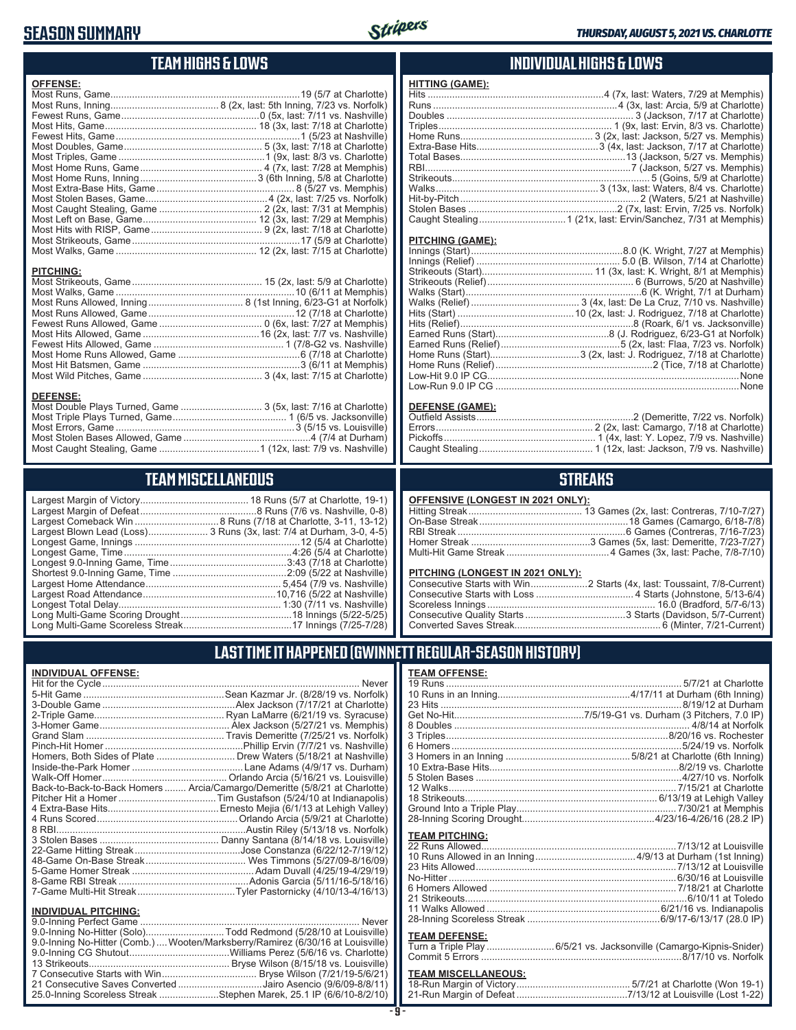### **SEASON SUMMARY**



### **TEAM HIGHS & LOWS**

| <b>OFFENSE:</b>  |  |
|------------------|--|
|                  |  |
|                  |  |
|                  |  |
|                  |  |
|                  |  |
|                  |  |
|                  |  |
|                  |  |
|                  |  |
|                  |  |
|                  |  |
|                  |  |
|                  |  |
|                  |  |
|                  |  |
|                  |  |
|                  |  |
| <b>PITCHING:</b> |  |
|                  |  |
|                  |  |
|                  |  |
|                  |  |
|                  |  |
|                  |  |
|                  |  |
|                  |  |
|                  |  |
|                  |  |

#### **DEFENSE:**

| Most Double Plays Turned, Game  3 (5x, last: 7/16 at Charlotte) |  |
|-----------------------------------------------------------------|--|
|                                                                 |  |
|                                                                 |  |
|                                                                 |  |
|                                                                 |  |
|                                                                 |  |

## **TEAM MISCELLANEOUS**

| Largest Blown Lead (Loss) 3 Runs (3x, last: 7/4 at Durham, 3-0, 4-5) |
|----------------------------------------------------------------------|
|                                                                      |
|                                                                      |
|                                                                      |
|                                                                      |
|                                                                      |
|                                                                      |
|                                                                      |
|                                                                      |
|                                                                      |

### **INDIVIDUAL HIGHS & LOWS**

| <b>HITTING (GAME):</b> |                                                                   |
|------------------------|-------------------------------------------------------------------|
|                        | Hits ……………………………………………………………4 (7x, last: Waters, 7/29 at Memphis) |
|                        |                                                                   |
|                        |                                                                   |
|                        |                                                                   |
|                        |                                                                   |
|                        |                                                                   |
|                        |                                                                   |
|                        |                                                                   |
|                        |                                                                   |
|                        |                                                                   |
|                        |                                                                   |
|                        |                                                                   |
|                        |                                                                   |
|                        |                                                                   |

#### **PITCHING (GAME):**

#### **DEFENSE (GAME):**

### **STREAKS**

#### **OFFENSIVE (LONGEST IN 2021 ONLY):**

#### **PITCHING (LONGEST IN 2021 ONLY):**

### **LAST TIME IT HAPPENED (GWINNETT REGULAR-SEASON HISTORY)**

#### **INDIVIDUAL OFFENSE:**

|                                                        | Homers, Both Sides of Plate  Drew Waters (5/18/21 at Nashville)            |
|--------------------------------------------------------|----------------------------------------------------------------------------|
|                                                        |                                                                            |
|                                                        |                                                                            |
|                                                        | Back-to-Back-to-Back Homers  Arcia/Camargo/Demeritte (5/8/21 at Charlotte) |
|                                                        |                                                                            |
|                                                        |                                                                            |
|                                                        |                                                                            |
|                                                        |                                                                            |
|                                                        |                                                                            |
|                                                        |                                                                            |
|                                                        |                                                                            |
|                                                        |                                                                            |
|                                                        |                                                                            |
|                                                        | 7-Game Multi-Hit Streak…Tyler Pastornicky (4/10/13-4/16/13)                |
|                                                        |                                                                            |
| <b>INDIVIDUAL PITCHING:</b><br>0.0 Inning Dorfoot Camp | Nover                                                                      |
|                                                        |                                                                            |

| 9.0-Inning No-Hitter (Solo)Todd Redmond (5/28/10 at Louisville)                 |
|---------------------------------------------------------------------------------|
| 9.0-Inning No-Hitter (Comb.)  Wooten/Marksberry/Ramirez (6/30/16 at Louisville) |
|                                                                                 |
|                                                                                 |
|                                                                                 |
| 21 Consecutive Saves Converted Jairo Asencio (9/6/09-8/8/11)                    |
| 25.0-Inning Scoreless Streak Stephen Marek, 25.1 IP (6/6/10-8/2/10)             |
|                                                                                 |

#### **TEAM OFFENSE:**

| <b>TEAM PITCHING:</b> |  |
|-----------------------|--|
|                       |  |
|                       |  |
|                       |  |
|                       |  |
|                       |  |
|                       |  |
|                       |  |
|                       |  |
|                       |  |

#### **TEAM DEFENSE:**

| . |                                                                    |
|---|--------------------------------------------------------------------|
|   | Turn a Triple Play 6/5/21 vs. Jacksonville (Camargo-Kipnis-Snider) |
|   |                                                                    |

| TEAM MISCELLANEOUS: |  |
|---------------------|--|
|                     |  |
|                     |  |